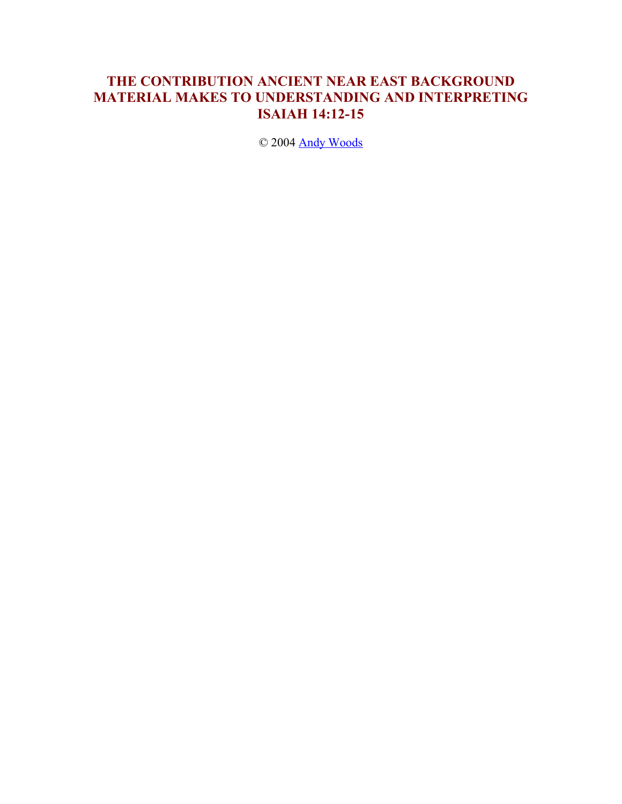# **THE CONTRIBUTION ANCIENT NEAR EAST BACKGROUND MATERIAL MAKES TO UNDERSTANDING AND INTERPRETING ISAIAH 14:12-15**

© 2004 Andy Woods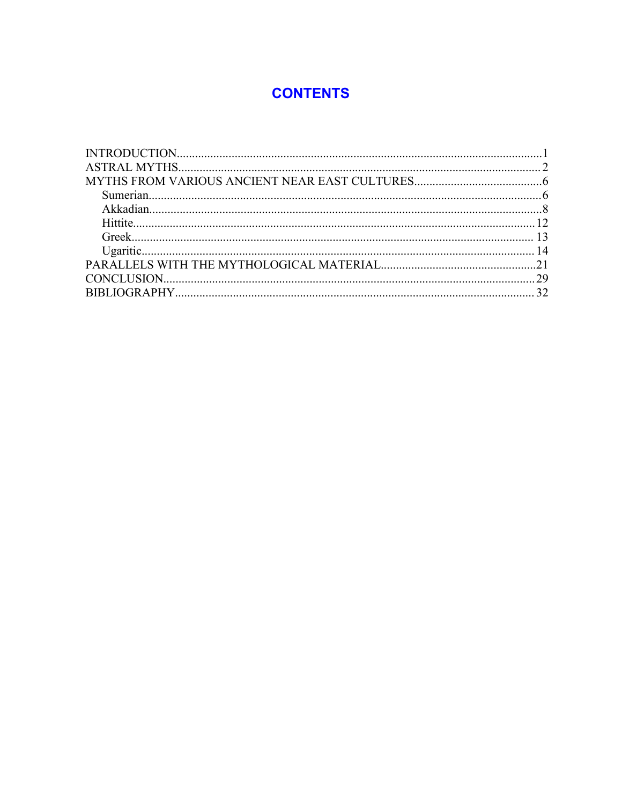# **CONTENTS**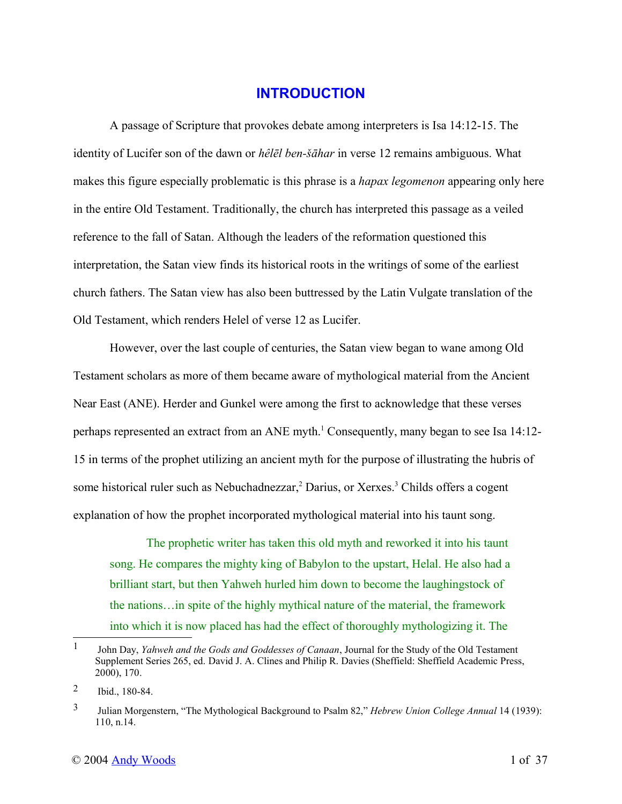## **INTRODUCTION**

A passage of Scripture that provokes debate among interpreters is Isa 14:12-15. The identity of Lucifer son of the dawn or *hêlēl ben-šāhar* in verse 12 remains ambiguous. What makes this figure especially problematic is this phrase is a *hapax legomenon* appearing only here in the entire Old Testament. Traditionally, the church has interpreted this passage as a veiled reference to the fall of Satan. Although the leaders of the reformation questioned this interpretation, the Satan view finds its historical roots in the writings of some of the earliest church fathers. The Satan view has also been buttressed by the Latin Vulgate translation of the Old Testament, which renders Helel of verse 12 as Lucifer.

However, over the last couple of centuries, the Satan view began to wane among Old Testament scholars as more of them became aware of mythological material from the Ancient Near East (ANE). Herder and Gunkel were among the first to acknowledge that these verses perhaps represented an extract from an ANE myth.<sup>1</sup> Consequently, many began to see Isa 14:12-15 in terms of the prophet utilizing an ancient myth for the purpose of illustrating the hubris of some historical ruler such as Nebuchadnezzar,<sup>2</sup> Darius, or Xerxes.<sup>3</sup> Childs offers a cogent explanation of how the prophet incorporated mythological material into his taunt song.

The prophetic writer has taken this old myth and reworked it into his taunt song. He compares the mighty king of Babylon to the upstart, Helal. He also had a brilliant start, but then Yahweh hurled him down to become the laughingstock of the nations…in spite of the highly mythical nature of the material, the framework into which it is now placed has had the effect of thoroughly mythologizing it. The

<sup>1</sup> John Day, *Yahweh and the Gods and Goddesses of Canaan*, Journal for the Study of the Old Testament Supplement Series 265, ed. David J. A. Clines and Philip R. Davies (Sheffield: Sheffield Academic Press, 2000), 170.

<sup>2</sup> Ibid., 180-84.

<sup>3</sup> Julian Morgenstern, "The Mythological Background to Psalm 82," *Hebrew Union College Annual* 14 (1939): 110, n.14.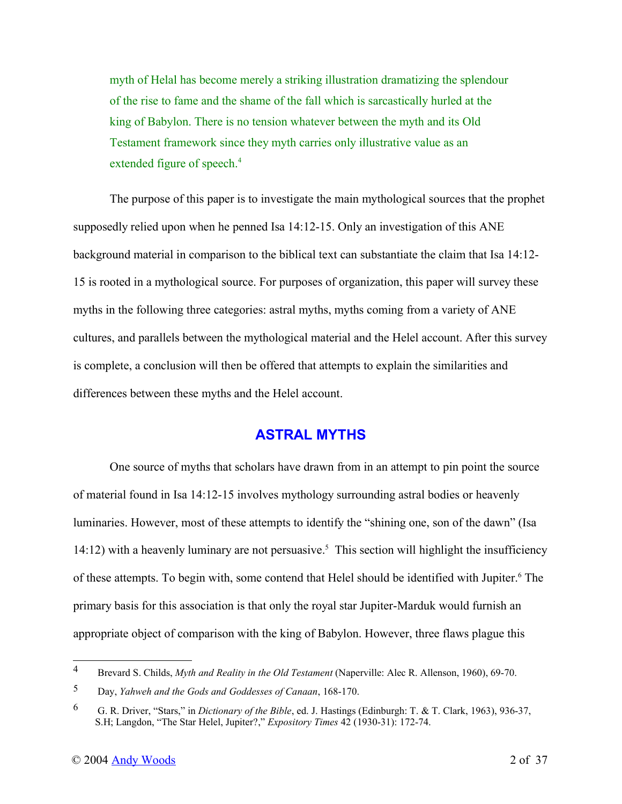myth of Helal has become merely a striking illustration dramatizing the splendour of the rise to fame and the shame of the fall which is sarcastically hurled at the king of Babylon. There is no tension whatever between the myth and its Old Testament framework since they myth carries only illustrative value as an extended figure of speech.<sup>4</sup>

The purpose of this paper is to investigate the main mythological sources that the prophet supposedly relied upon when he penned Isa 14:12-15. Only an investigation of this ANE background material in comparison to the biblical text can substantiate the claim that Isa 14:12- 15 is rooted in a mythological source. For purposes of organization, this paper will survey these myths in the following three categories: astral myths, myths coming from a variety of ANE cultures, and parallels between the mythological material and the Helel account. After this survey is complete, a conclusion will then be offered that attempts to explain the similarities and differences between these myths and the Helel account.

# **ASTRAL MYTHS**

One source of myths that scholars have drawn from in an attempt to pin point the source of material found in Isa 14:12-15 involves mythology surrounding astral bodies or heavenly luminaries. However, most of these attempts to identify the "shining one, son of the dawn" (Isa 14:12) with a heavenly luminary are not persuasive.<sup>5</sup> This section will highlight the insufficiency of these attempts. To begin with, some contend that Helel should be identified with Jupiter.<sup>6</sup> The primary basis for this association is that only the royal star Jupiter-Marduk would furnish an appropriate object of comparison with the king of Babylon. However, three flaws plague this

<sup>4</sup> Brevard S. Childs, *Myth and Reality in the Old Testament* (Naperville: Alec R. Allenson, 1960), 69-70.

<sup>5</sup> Day, *Yahweh and the Gods and Goddesses of Canaan*, 168-170.

<sup>6</sup> G. R. Driver, "Stars," in *Dictionary of the Bible*, ed. J. Hastings (Edinburgh: T. & T. Clark, 1963), 936-37, S.H; Langdon, "The Star Helel, Jupiter?," *Expository Times* 42 (1930-31): 172-74.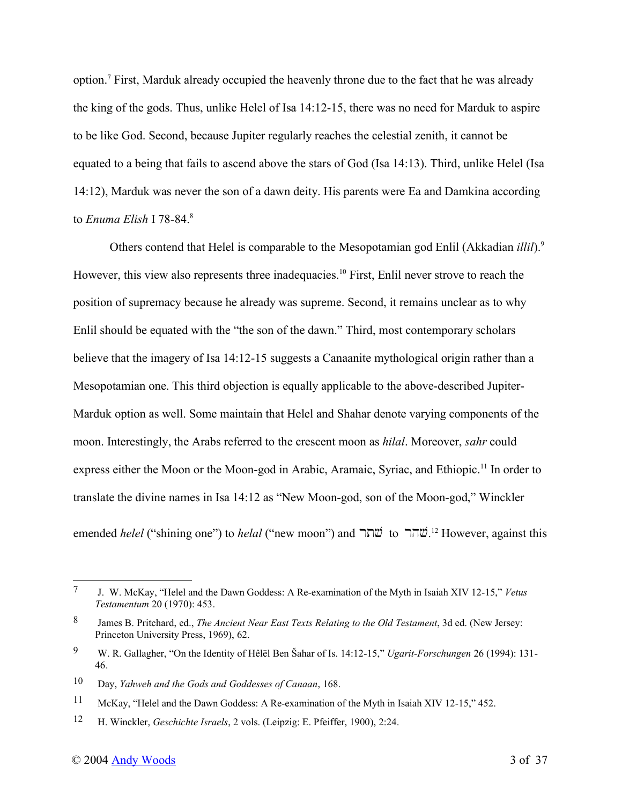option.<sup>7</sup> First, Marduk already occupied the heavenly throne due to the fact that he was already the king of the gods. Thus, unlike Helel of Isa 14:12-15, there was no need for Marduk to aspire to be like God. Second, because Jupiter regularly reaches the celestial zenith, it cannot be equated to a being that fails to ascend above the stars of God (Isa 14:13). Third, unlike Helel (Isa 14:12), Marduk was never the son of a dawn deity. His parents were Ea and Damkina according to *Enuma Elish* I 78-84.<sup>8</sup>

Others contend that Helel is comparable to the Mesopotamian god Enlil (Akkadian *illil*).<sup>9</sup> However, this view also represents three inadequacies.<sup>10</sup> First, Enlil never strove to reach the position of supremacy because he already was supreme. Second, it remains unclear as to why Enlil should be equated with the "the son of the dawn." Third, most contemporary scholars believe that the imagery of Isa 14:12-15 suggests a Canaanite mythological origin rather than a Mesopotamian one. This third objection is equally applicable to the above-described Jupiter-Marduk option as well. Some maintain that Helel and Shahar denote varying components of the moon. Interestingly, the Arabs referred to the crescent moon as *hilal*. Moreover, *sahr* could express either the Moon or the Moon-god in Arabic, Aramaic, Syriac, and Ethiopic.<sup>11</sup> In order to translate the divine names in Isa 14:12 as "New Moon-god, son of the Moon-god," Winckler emended *helel* ("shining one") to *helal* ("new moon") and שׂתר to <sup>12</sup> However, against this

<sup>7</sup> J. W. McKay, "Helel and the Dawn Goddess: A Re-examination of the Myth in Isaiah XIV 12-15," *Vetus Testamentum* 20 (1970): 453.

<sup>8</sup> James B. Pritchard, ed., *The Ancient Near East Texts Relating to the Old Testament*, 3d ed. (New Jersey: Princeton University Press, 1969), 62.

<sup>9</sup> W. R. Gallagher, "On the Identity of Hêlēl Ben Šahar of Is. 14:12-15," *Ugarit-Forschungen* 26 (1994): 131- 46.

<sup>10</sup> Day, *Yahweh and the Gods and Goddesses of Canaan*, 168.

<sup>11</sup> McKay, "Helel and the Dawn Goddess: A Re-examination of the Myth in Isaiah XIV 12-15," 452.

<sup>12</sup> H. Winckler, *Geschichte Israels*, 2 vols. (Leipzig: E. Pfeiffer, 1900), 2:24.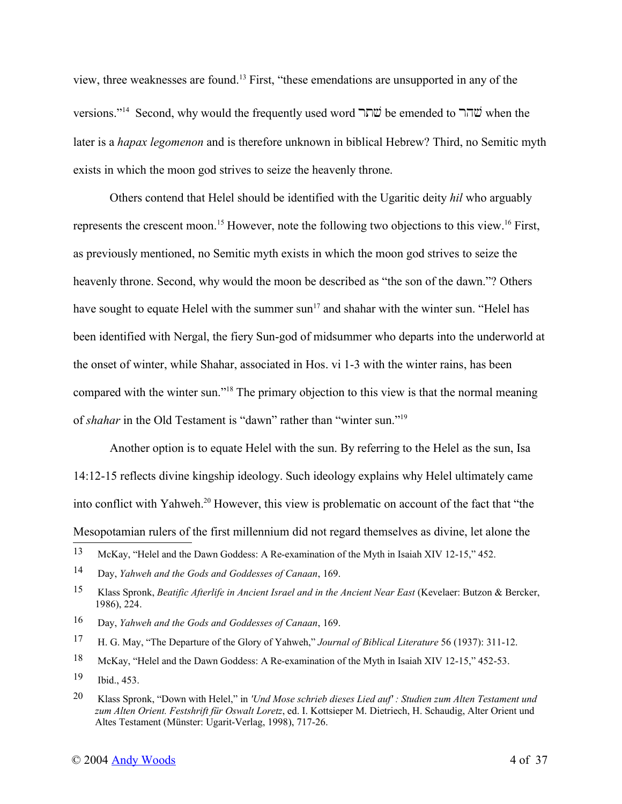view, three weaknesses are found.<sup>13</sup> First, "these emendations are unsupported in any of the versions."<sup>14</sup> Second, why would the frequently used word שׂהר be emended to שׂהר when the later is a *hapax legomenon* and is therefore unknown in biblical Hebrew? Third, no Semitic myth exists in which the moon god strives to seize the heavenly throne.

Others contend that Helel should be identified with the Ugaritic deity *hil* who arguably represents the crescent moon.<sup>15</sup> However, note the following two objections to this view.<sup>16</sup> First, as previously mentioned, no Semitic myth exists in which the moon god strives to seize the heavenly throne. Second, why would the moon be described as "the son of the dawn."? Others have sought to equate Helel with the summer sun<sup>17</sup> and shahar with the winter sun. "Helel has been identified with Nergal, the fiery Sun-god of midsummer who departs into the underworld at the onset of winter, while Shahar, associated in Hos. vi 1-3 with the winter rains, has been compared with the winter sun."<sup>18</sup> The primary objection to this view is that the normal meaning of *shahar* in the Old Testament is "dawn" rather than "winter sun."<sup>19</sup>

Another option is to equate Helel with the sun. By referring to the Helel as the sun, Isa 14:12-15 reflects divine kingship ideology. Such ideology explains why Helel ultimately came into conflict with Yahweh.<sup>20</sup> However, this view is problematic on account of the fact that "the Mesopotamian rulers of the first millennium did not regard themselves as divine, let alone the

- 16 Day, *Yahweh and the Gods and Goddesses of Canaan*, 169.
- 17 H. G. May, "The Departure of the Glory of Yahweh," *Journal of Biblical Literature* 56 (1937): 311-12.
- 18 McKay, "Helel and the Dawn Goddess: A Re-examination of the Myth in Isaiah XIV 12-15," 452-53.

<sup>13</sup> McKay, "Helel and the Dawn Goddess: A Re-examination of the Myth in Isaiah XIV 12-15," 452.

<sup>14</sup> Day, *Yahweh and the Gods and Goddesses of Canaan*, 169.

<sup>15</sup> Klass Spronk, *Beatific Afterlife in Ancient Israel and in the Ancient Near East* (Kevelaer: Butzon & Bercker, 1986), 224.

<sup>19</sup> Ibid., 453.

<sup>20</sup> Klass Spronk, "Down with Helel," in *'Und Mose schrieb dieses Lied auf' : Studien zum Alten Testament und zum Alten Orient. Festshrift für Oswalt Loretz*, ed. I. Kottsieper M. Dietriech, H. Schaudig, Alter Orient und Altes Testament (Münster: Ugarit-Verlag, 1998), 717-26.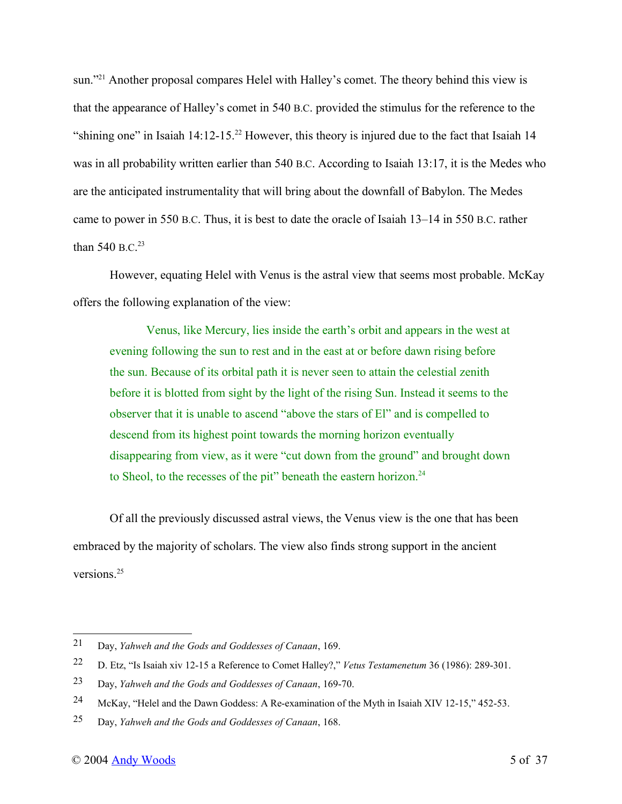sun."<sup>21</sup> Another proposal compares Helel with Halley's comet. The theory behind this view is that the appearance of Halley's comet in 540 B.C. provided the stimulus for the reference to the "shining one" in Isaiah  $14:12-15.22$  However, this theory is injured due to the fact that Isaiah 14 was in all probability written earlier than 540 B.C. According to Isaiah 13:17, it is the Medes who are the anticipated instrumentality that will bring about the downfall of Babylon. The Medes came to power in 550 B.C. Thus, it is best to date the oracle of Isaiah 13–14 in 550 B.C. rather than 540 B.C. $^{23}$ 

However, equating Helel with Venus is the astral view that seems most probable. McKay offers the following explanation of the view:

Venus, like Mercury, lies inside the earth's orbit and appears in the west at evening following the sun to rest and in the east at or before dawn rising before the sun. Because of its orbital path it is never seen to attain the celestial zenith before it is blotted from sight by the light of the rising Sun. Instead it seems to the observer that it is unable to ascend "above the stars of El" and is compelled to descend from its highest point towards the morning horizon eventually disappearing from view, as it were "cut down from the ground" and brought down to Sheol, to the recesses of the pit" beneath the eastern horizon.<sup>24</sup>

Of all the previously discussed astral views, the Venus view is the one that has been embraced by the majority of scholars. The view also finds strong support in the ancient versions<sup>25</sup>

<sup>21</sup> Day, *Yahweh and the Gods and Goddesses of Canaan*, 169.

<sup>22</sup> D. Etz, "Is Isaiah xiv 12-15 a Reference to Comet Halley?," *Vetus Testamenetum* 36 (1986): 289-301.

<sup>23</sup> Day, *Yahweh and the Gods and Goddesses of Canaan*, 169-70.

<sup>24</sup> McKay, "Helel and the Dawn Goddess: A Re-examination of the Myth in Isaiah XIV 12-15," 452-53.

<sup>25</sup> Day, *Yahweh and the Gods and Goddesses of Canaan*, 168.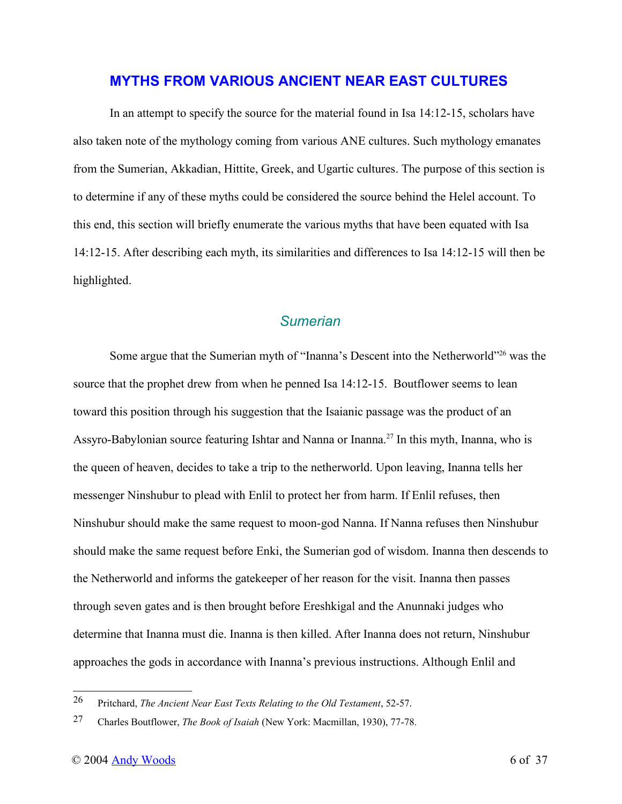#### **MYTHS FROM VARIOUS ANCIENT NEAR EAST CULTURES**

In an attempt to specify the source for the material found in Isa 14:12-15, scholars have also taken note of the mythology coming from various ANE cultures. Such mythology emanates from the Sumerian, Akkadian, Hittite, Greek, and Ugartic cultures. The purpose of this section is to determine if any of these myths could be considered the source behind the Helel account. To this end, this section will briefly enumerate the various myths that have been equated with Isa 14:12-15. After describing each myth, its similarities and differences to Isa 14:12-15 will then be highlighted.

## *Sumerian*

Some argue that the Sumerian myth of "Inanna's Descent into the Netherworld"<sup>26</sup> was the source that the prophet drew from when he penned Isa 14:12-15. Boutflower seems to lean toward this position through his suggestion that the Isaianic passage was the product of an Assyro-Babylonian source featuring Ishtar and Nanna or Inanna.<sup>27</sup> In this myth, Inanna, who is the queen of heaven, decides to take a trip to the netherworld. Upon leaving, Inanna tells her messenger Ninshubur to plead with Enlil to protect her from harm. If Enlil refuses, then Ninshubur should make the same request to moon-god Nanna. If Nanna refuses then Ninshubur should make the same request before Enki, the Sumerian god of wisdom. Inanna then descends to the Netherworld and informs the gatekeeper of her reason for the visit. Inanna then passes through seven gates and is then brought before Ereshkigal and the Anunnaki judges who determine that Inanna must die. Inanna is then killed. After Inanna does not return, Ninshubur approaches the gods in accordance with Inanna's previous instructions. Although Enlil and

<sup>26</sup> Pritchard, *The Ancient Near East Texts Relating to the Old Testament*, 52-57.

<sup>27</sup> Charles Boutflower, *The Book of Isaiah* (New York: Macmillan, 1930), 77-78.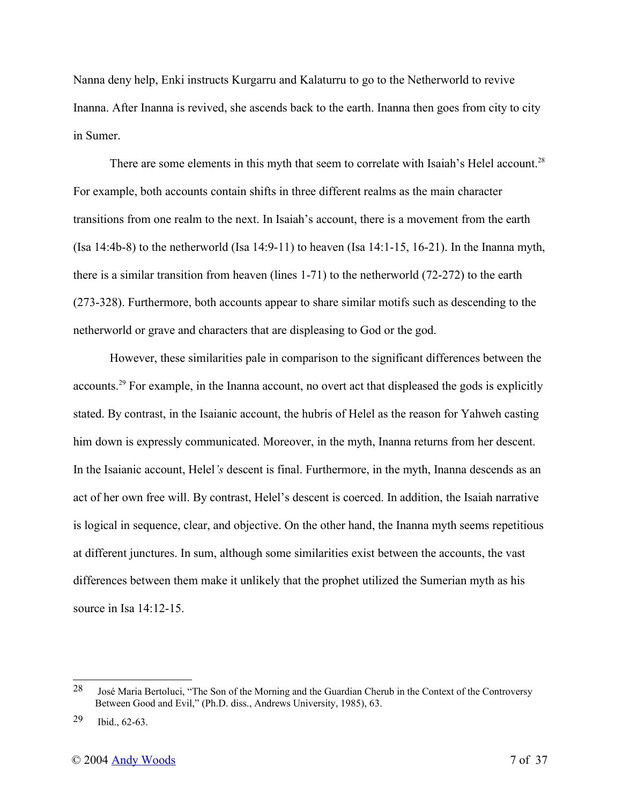Nanna deny help, Enki instructs Kurgarru and Kalaturru to go to the Netherworld to revive Inanna. After Inanna is revived, she ascends back to the earth. Inanna then goes from city to city in Sumer.

There are some elements in this myth that seem to correlate with Isaiah's Helel account.<sup>28</sup> For example, both accounts contain shifts in three different realms as the main character transitions from one realm to the next. In Isaiah's account, there is a movement from the earth (Isa  $14:4b-8$ ) to the netherworld (Isa  $14:9-11$ ) to heaven (Isa  $14:1-15$ ,  $16-21$ ). In the Inanna myth, there is a similar transition from heaven (lines 1-71) to the netherworld (72-272) to the earth (273-328). Furthermore, both accounts appear to share similar motifs such as descending to the netherworld or grave and characters that are displeasing to God or the god.

However, these similarities pale in comparison to the significant differences between the accounts.<sup>29</sup> For example, in the Inanna account, no overt act that displeased the gods is explicitly stated. By contrast, in the Isaianic account, the hubris of Helel as the reason for Yahweh casting him down is expressly communicated. Moreover, in the myth, Inanna returns from her descent. In the Isaianic account, Helel*'s* descent is final. Furthermore, in the myth, Inanna descends as an act of her own free will. By contrast, Helel's descent is coerced. In addition, the Isaiah narrative is logical in sequence, clear, and objective. On the other hand, the Inanna myth seems repetitious at different junctures. In sum, although some similarities exist between the accounts, the vast differences between them make it unlikely that the prophet utilized the Sumerian myth as his source in Isa 14:12-15.

<sup>28</sup> José Maria Bertoluci, "The Son of the Morning and the Guardian Cherub in the Context of the Controversy Between Good and Evil," (Ph.D. diss., Andrews University, 1985), 63.

<sup>29</sup> Ibid., 62-63.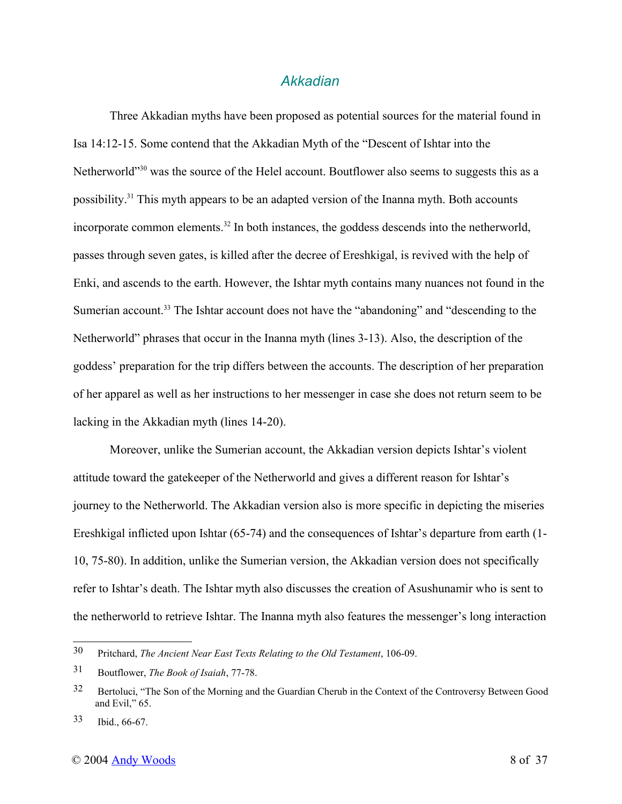#### *Akkadian*

Three Akkadian myths have been proposed as potential sources for the material found in Isa 14:12-15. Some contend that the Akkadian Myth of the "Descent of Ishtar into the Netherworld"<sup>30</sup> was the source of the Helel account. Boutflower also seems to suggests this as a possibility.<sup>31</sup> This myth appears to be an adapted version of the Inanna myth. Both accounts incorporate common elements.<sup>32</sup> In both instances, the goddess descends into the netherworld, passes through seven gates, is killed after the decree of Ereshkigal, is revived with the help of Enki, and ascends to the earth. However, the Ishtar myth contains many nuances not found in the Sumerian account.<sup>33</sup> The Ishtar account does not have the "abandoning" and "descending to the Netherworld" phrases that occur in the Inanna myth (lines 3-13). Also, the description of the goddess' preparation for the trip differs between the accounts. The description of her preparation of her apparel as well as her instructions to her messenger in case she does not return seem to be lacking in the Akkadian myth (lines 14-20).

Moreover, unlike the Sumerian account, the Akkadian version depicts Ishtar's violent attitude toward the gatekeeper of the Netherworld and gives a different reason for Ishtar's journey to the Netherworld. The Akkadian version also is more specific in depicting the miseries Ereshkigal inflicted upon Ishtar (65-74) and the consequences of Ishtar's departure from earth (1- 10, 75-80). In addition, unlike the Sumerian version, the Akkadian version does not specifically refer to Ishtar's death. The Ishtar myth also discusses the creation of Asushunamir who is sent to the netherworld to retrieve Ishtar. The Inanna myth also features the messenger's long interaction

<sup>30</sup> Pritchard, *The Ancient Near East Texts Relating to the Old Testament*, 106-09.

<sup>31</sup> Boutflower, *The Book of Isaiah*, 77-78.

<sup>32</sup> Bertoluci, "The Son of the Morning and the Guardian Cherub in the Context of the Controversy Between Good and Evil," 65.

<sup>33</sup> Ibid., 66-67.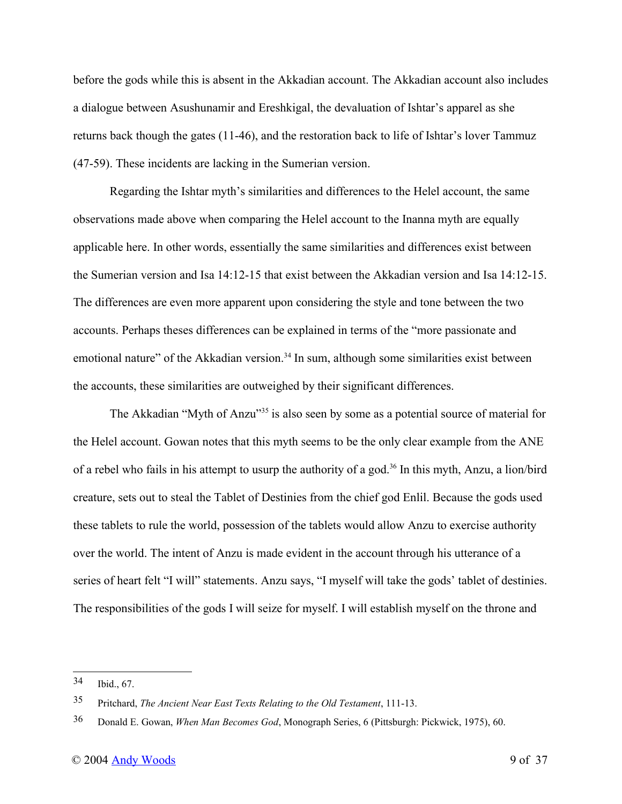before the gods while this is absent in the Akkadian account. The Akkadian account also includes a dialogue between Asushunamir and Ereshkigal, the devaluation of Ishtar's apparel as she returns back though the gates (11-46), and the restoration back to life of Ishtar's lover Tammuz (47-59). These incidents are lacking in the Sumerian version.

Regarding the Ishtar myth's similarities and differences to the Helel account, the same observations made above when comparing the Helel account to the Inanna myth are equally applicable here. In other words, essentially the same similarities and differences exist between the Sumerian version and Isa 14:12-15 that exist between the Akkadian version and Isa 14:12-15. The differences are even more apparent upon considering the style and tone between the two accounts. Perhaps theses differences can be explained in terms of the "more passionate and emotional nature" of the Akkadian version.<sup>34</sup> In sum, although some similarities exist between the accounts, these similarities are outweighed by their significant differences.

The Akkadian "Myth of Anzu"<sup>35</sup> is also seen by some as a potential source of material for the Helel account. Gowan notes that this myth seems to be the only clear example from the ANE of a rebel who fails in his attempt to usurp the authority of a god.<sup>36</sup> In this myth, Anzu, a lion/bird creature, sets out to steal the Tablet of Destinies from the chief god Enlil. Because the gods used these tablets to rule the world, possession of the tablets would allow Anzu to exercise authority over the world. The intent of Anzu is made evident in the account through his utterance of a series of heart felt "I will" statements. Anzu says, "I myself will take the gods' tablet of destinies. The responsibilities of the gods I will seize for myself. I will establish myself on the throne and

<sup>34</sup> Ibid., 67.

<sup>35</sup> Pritchard, *The Ancient Near East Texts Relating to the Old Testament*, 111-13.

<sup>36</sup> Donald E. Gowan, *When Man Becomes God*, Monograph Series, 6 (Pittsburgh: Pickwick, 1975), 60.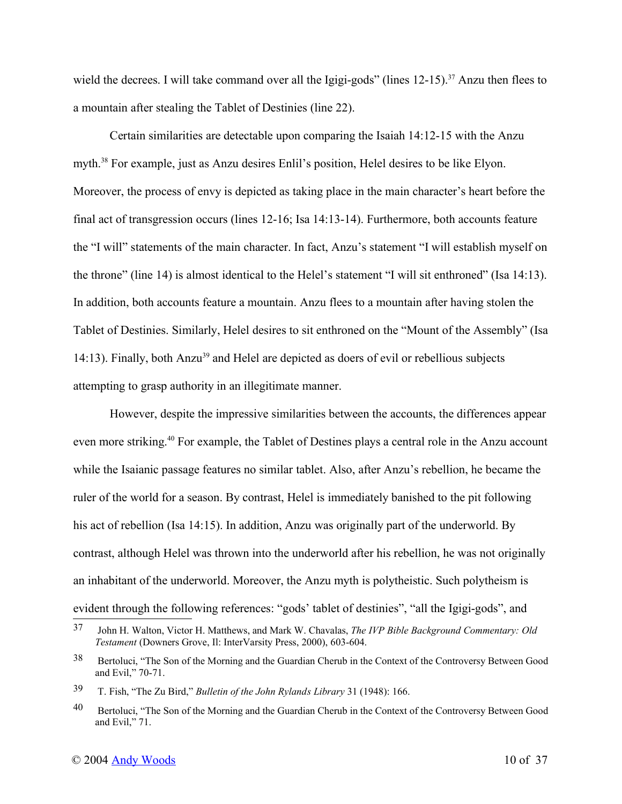wield the decrees. I will take command over all the Igigi-gods" (lines 12-15).<sup>37</sup> Anzu then flees to a mountain after stealing the Tablet of Destinies (line 22).

Certain similarities are detectable upon comparing the Isaiah 14:12-15 with the Anzu myth.<sup>38</sup> For example, just as Anzu desires Enlil's position, Helel desires to be like Elyon. Moreover, the process of envy is depicted as taking place in the main character's heart before the final act of transgression occurs (lines 12-16; Isa 14:13-14). Furthermore, both accounts feature the "I will" statements of the main character. In fact, Anzu's statement "I will establish myself on the throne" (line 14) is almost identical to the Helel's statement "I will sit enthroned" (Isa 14:13). In addition, both accounts feature a mountain. Anzu flees to a mountain after having stolen the Tablet of Destinies. Similarly, Helel desires to sit enthroned on the "Mount of the Assembly" (Isa 14:13). Finally, both Anzu<sup>39</sup> and Helel are depicted as doers of evil or rebellious subjects attempting to grasp authority in an illegitimate manner.

However, despite the impressive similarities between the accounts, the differences appear even more striking.<sup>40</sup> For example, the Tablet of Destines plays a central role in the Anzu account while the Isaianic passage features no similar tablet. Also, after Anzu's rebellion, he became the ruler of the world for a season. By contrast, Helel is immediately banished to the pit following his act of rebellion (Isa 14:15). In addition, Anzu was originally part of the underworld. By contrast, although Helel was thrown into the underworld after his rebellion, he was not originally an inhabitant of the underworld. Moreover, the Anzu myth is polytheistic. Such polytheism is evident through the following references: "gods' tablet of destinies", "all the Igigi-gods", and

<sup>37</sup> John H. Walton, Victor H. Matthews, and Mark W. Chavalas, *The IVP Bible Background Commentary: Old Testament* (Downers Grove, Il: InterVarsity Press, 2000), 603-604.

<sup>38</sup> Bertoluci, "The Son of the Morning and the Guardian Cherub in the Context of the Controversy Between Good and Evil," 70-71.

<sup>39</sup> T. Fish, "The Zu Bird," *Bulletin of the John Rylands Library* 31 (1948): 166.

<sup>&</sup>lt;sup>40</sup> Bertoluci, "The Son of the Morning and the Guardian Cherub in the Context of the Controversy Between Good and Evil," 71.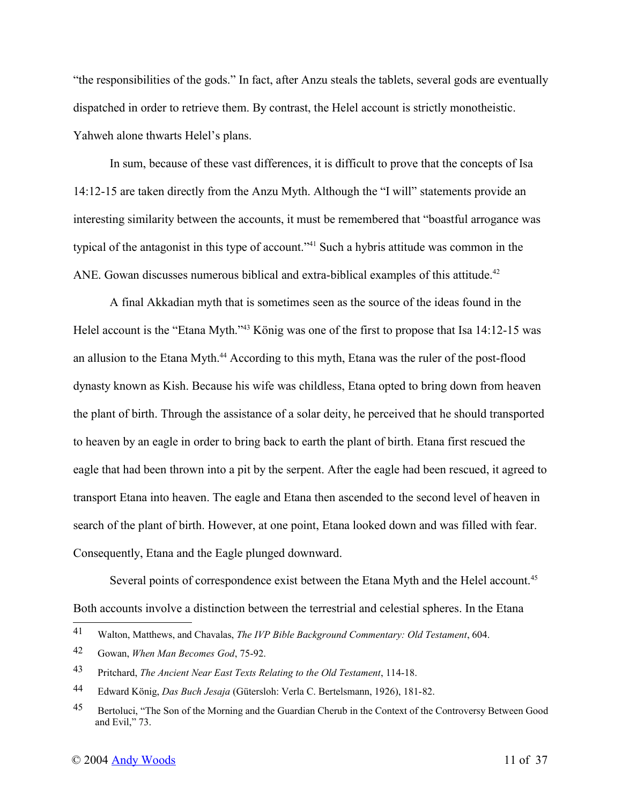"the responsibilities of the gods." In fact, after Anzu steals the tablets, several gods are eventually dispatched in order to retrieve them. By contrast, the Helel account is strictly monotheistic. Yahweh alone thwarts Helel's plans.

In sum, because of these vast differences, it is difficult to prove that the concepts of Isa 14:12-15 are taken directly from the Anzu Myth. Although the "I will" statements provide an interesting similarity between the accounts, it must be remembered that "boastful arrogance was typical of the antagonist in this type of account."<sup>41</sup> Such a hybris attitude was common in the ANE. Gowan discusses numerous biblical and extra-biblical examples of this attitude.<sup>42</sup>

A final Akkadian myth that is sometimes seen as the source of the ideas found in the Helel account is the "Etana Myth."<sup>43</sup> König was one of the first to propose that Isa 14:12-15 was an allusion to the Etana Myth.<sup>44</sup> According to this myth, Etana was the ruler of the post-flood dynasty known as Kish. Because his wife was childless, Etana opted to bring down from heaven the plant of birth. Through the assistance of a solar deity, he perceived that he should transported to heaven by an eagle in order to bring back to earth the plant of birth. Etana first rescued the eagle that had been thrown into a pit by the serpent. After the eagle had been rescued, it agreed to transport Etana into heaven. The eagle and Etana then ascended to the second level of heaven in search of the plant of birth. However, at one point, Etana looked down and was filled with fear. Consequently, Etana and the Eagle plunged downward.

Several points of correspondence exist between the Etana Myth and the Helel account.<sup>45</sup> Both accounts involve a distinction between the terrestrial and celestial spheres. In the Etana

<sup>41</sup> Walton, Matthews, and Chavalas, *The IVP Bible Background Commentary: Old Testament*, 604.

<sup>42</sup> Gowan, *When Man Becomes God*, 75-92.

<sup>43</sup> Pritchard, *The Ancient Near East Texts Relating to the Old Testament*, 114-18.

<sup>44</sup> Edward König, *Das Buch Jesaja* (Gütersloh: Verla C. Bertelsmann, 1926), 181-82.

<sup>&</sup>lt;sup>45</sup> Bertoluci, "The Son of the Morning and the Guardian Cherub in the Context of the Controversy Between Good and Evil," 73.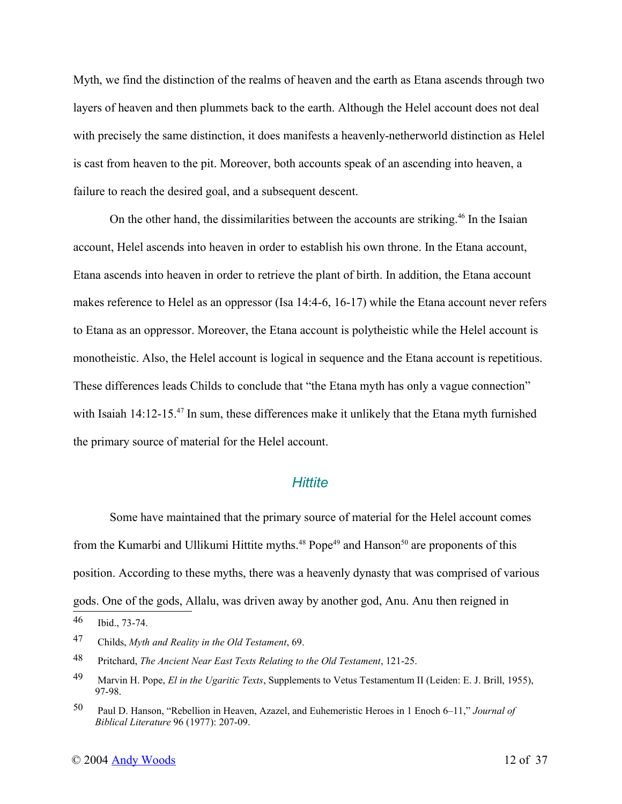Myth, we find the distinction of the realms of heaven and the earth as Etana ascends through two layers of heaven and then plummets back to the earth. Although the Helel account does not deal with precisely the same distinction, it does manifests a heavenly-netherworld distinction as Helel is cast from heaven to the pit. Moreover, both accounts speak of an ascending into heaven, a failure to reach the desired goal, and a subsequent descent.

On the other hand, the dissimilarities between the accounts are striking.<sup>46</sup> In the Isaian account, Helel ascends into heaven in order to establish his own throne. In the Etana account, Etana ascends into heaven in order to retrieve the plant of birth. In addition, the Etana account makes reference to Helel as an oppressor (Isa 14:4-6, 16-17) while the Etana account never refers to Etana as an oppressor. Moreover, the Etana account is polytheistic while the Helel account is monotheistic. Also, the Helel account is logical in sequence and the Etana account is repetitious. These differences leads Childs to conclude that "the Etana myth has only a vague connection" with Isaiah 14:12-15.<sup>47</sup> In sum, these differences make it unlikely that the Etana myth furnished the primary source of material for the Helel account.

#### *Hittite*

Some have maintained that the primary source of material for the Helel account comes from the Kumarbi and Ullikumi Hittite myths.<sup>48</sup> Pope<sup>49</sup> and Hanson<sup>50</sup> are proponents of this position. According to these myths, there was a heavenly dynasty that was comprised of various gods. One of the gods, Allalu, was driven away by another god, Anu. Anu then reigned in

<sup>46</sup> Ibid., 73-74.

<sup>47</sup> Childs, *Myth and Reality in the Old Testament*, 69.

<sup>48</sup> Pritchard, *The Ancient Near East Texts Relating to the Old Testament*, 121-25.

<sup>49</sup> Marvin H. Pope, *El in the Ugaritic Texts*, Supplements to Vetus Testamentum II (Leiden: E. J. Brill, 1955), 97-98.

<sup>50</sup> Paul D. Hanson, "Rebellion in Heaven, Azazel, and Euhemeristic Heroes in 1 Enoch 6–11," *Journal of Biblical Literature* 96 (1977): 207-09.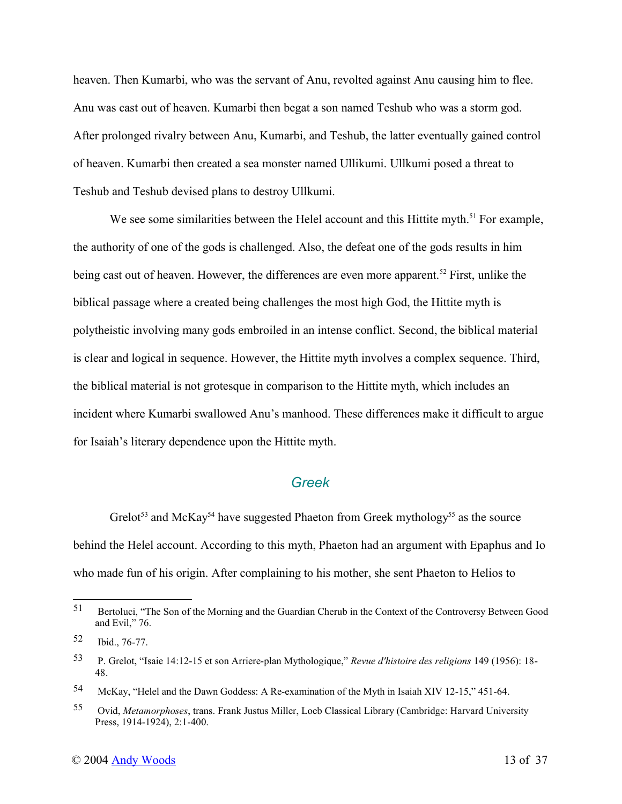heaven. Then Kumarbi, who was the servant of Anu, revolted against Anu causing him to flee. Anu was cast out of heaven. Kumarbi then begat a son named Teshub who was a storm god. After prolonged rivalry between Anu, Kumarbi, and Teshub, the latter eventually gained control of heaven. Kumarbi then created a sea monster named Ullikumi. Ullkumi posed a threat to Teshub and Teshub devised plans to destroy Ullkumi.

We see some similarities between the Helel account and this Hittite myth.<sup>51</sup> For example, the authority of one of the gods is challenged. Also, the defeat one of the gods results in him being cast out of heaven. However, the differences are even more apparent.<sup>52</sup> First, unlike the biblical passage where a created being challenges the most high God, the Hittite myth is polytheistic involving many gods embroiled in an intense conflict. Second, the biblical material is clear and logical in sequence. However, the Hittite myth involves a complex sequence. Third, the biblical material is not grotesque in comparison to the Hittite myth, which includes an incident where Kumarbi swallowed Anu's manhood. These differences make it difficult to argue for Isaiah's literary dependence upon the Hittite myth.

### *Greek*

Grelot<sup>53</sup> and McKay<sup>54</sup> have suggested Phaeton from Greek mythology<sup>55</sup> as the source behind the Helel account. According to this myth, Phaeton had an argument with Epaphus and Io who made fun of his origin. After complaining to his mother, she sent Phaeton to Helios to

<sup>51</sup> Bertoluci, "The Son of the Morning and the Guardian Cherub in the Context of the Controversy Between Good and Evil," 76.

<sup>52</sup> Ibid., 76-77.

<sup>53</sup> P. Grelot, "Isaie 14:12-15 et son Arriere-plan Mythologique," *Revue d'histoire des religions* 149 (1956): 18- 48.

<sup>54</sup> McKay, "Helel and the Dawn Goddess: A Re-examination of the Myth in Isaiah XIV 12-15," 451-64.

<sup>55</sup> Ovid, *Metamorphoses*, trans. Frank Justus Miller, Loeb Classical Library (Cambridge: Harvard University Press, 1914-1924), 2:1-400.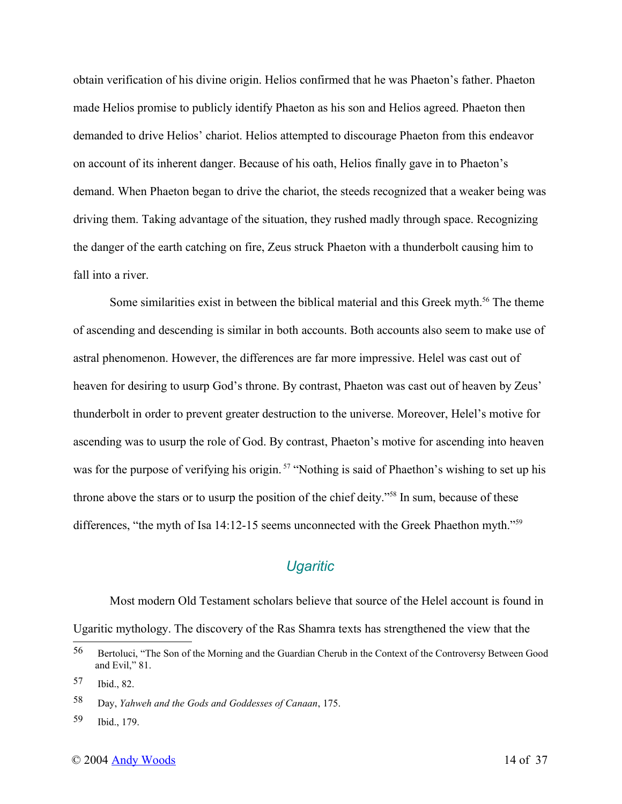obtain verification of his divine origin. Helios confirmed that he was Phaeton's father. Phaeton made Helios promise to publicly identify Phaeton as his son and Helios agreed. Phaeton then demanded to drive Helios' chariot. Helios attempted to discourage Phaeton from this endeavor on account of its inherent danger. Because of his oath, Helios finally gave in to Phaeton's demand. When Phaeton began to drive the chariot, the steeds recognized that a weaker being was driving them. Taking advantage of the situation, they rushed madly through space. Recognizing the danger of the earth catching on fire, Zeus struck Phaeton with a thunderbolt causing him to fall into a river.

Some similarities exist in between the biblical material and this Greek myth.<sup>56</sup> The theme of ascending and descending is similar in both accounts. Both accounts also seem to make use of astral phenomenon. However, the differences are far more impressive. Helel was cast out of heaven for desiring to usurp God's throne. By contrast, Phaeton was cast out of heaven by Zeus' thunderbolt in order to prevent greater destruction to the universe. Moreover, Helel's motive for ascending was to usurp the role of God. By contrast, Phaeton's motive for ascending into heaven was for the purpose of verifying his origin.<sup>57</sup> "Nothing is said of Phaethon's wishing to set up his throne above the stars or to usurp the position of the chief deity."<sup>58</sup> In sum, because of these differences, "the myth of Isa 14:12-15 seems unconnected with the Greek Phaethon myth."<sup>59</sup>

# *Ugaritic*

Most modern Old Testament scholars believe that source of the Helel account is found in Ugaritic mythology. The discovery of the Ras Shamra texts has strengthened the view that the

<sup>56</sup> Bertoluci, "The Son of the Morning and the Guardian Cherub in the Context of the Controversy Between Good and Evil," 81.

<sup>57</sup> Ibid., 82.

<sup>58</sup> Day, *Yahweh and the Gods and Goddesses of Canaan*, 175.

<sup>59</sup> Ibid., 179.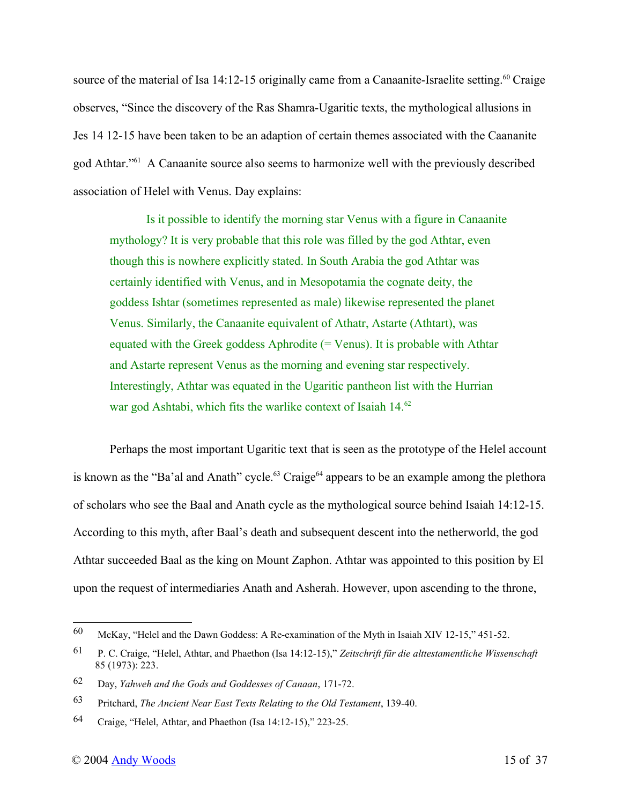source of the material of Isa 14:12-15 originally came from a Canaanite-Israelite setting.<sup>60</sup> Craige observes, "Since the discovery of the Ras Shamra-Ugaritic texts, the mythological allusions in Jes 14 12-15 have been taken to be an adaption of certain themes associated with the Caananite god Athtar."<sup>61</sup> A Canaanite source also seems to harmonize well with the previously described association of Helel with Venus. Day explains:

Is it possible to identify the morning star Venus with a figure in Canaanite mythology? It is very probable that this role was filled by the god Athtar, even though this is nowhere explicitly stated. In South Arabia the god Athtar was certainly identified with Venus, and in Mesopotamia the cognate deity, the goddess Ishtar (sometimes represented as male) likewise represented the planet Venus. Similarly, the Canaanite equivalent of Athatr, Astarte (Athtart), was equated with the Greek goddess Aphrodite  $(= Venus)$ . It is probable with Athtar and Astarte represent Venus as the morning and evening star respectively. Interestingly, Athtar was equated in the Ugaritic pantheon list with the Hurrian war god Ashtabi, which fits the warlike context of Isaiah 14.<sup>62</sup>

Perhaps the most important Ugaritic text that is seen as the prototype of the Helel account is known as the "Ba'al and Anath" cycle.<sup>63</sup> Craige<sup>64</sup> appears to be an example among the plethora of scholars who see the Baal and Anath cycle as the mythological source behind Isaiah 14:12-15. According to this myth, after Baal's death and subsequent descent into the netherworld, the god Athtar succeeded Baal as the king on Mount Zaphon. Athtar was appointed to this position by El upon the request of intermediaries Anath and Asherah. However, upon ascending to the throne,

<sup>60</sup> McKay, "Helel and the Dawn Goddess: A Re-examination of the Myth in Isaiah XIV 12-15," 451-52.

<sup>61</sup> P. C. Craige, "Helel, Athtar, and Phaethon (Isa 14:12-15)," *Zeitschrift für die alttestamentliche Wissenschaft* 85 (1973): 223.

<sup>62</sup> Day, *Yahweh and the Gods and Goddesses of Canaan*, 171-72.

<sup>63</sup> Pritchard, *The Ancient Near East Texts Relating to the Old Testament*, 139-40.

<sup>64</sup> Craige, "Helel, Athtar, and Phaethon (Isa 14:12-15)," 223-25.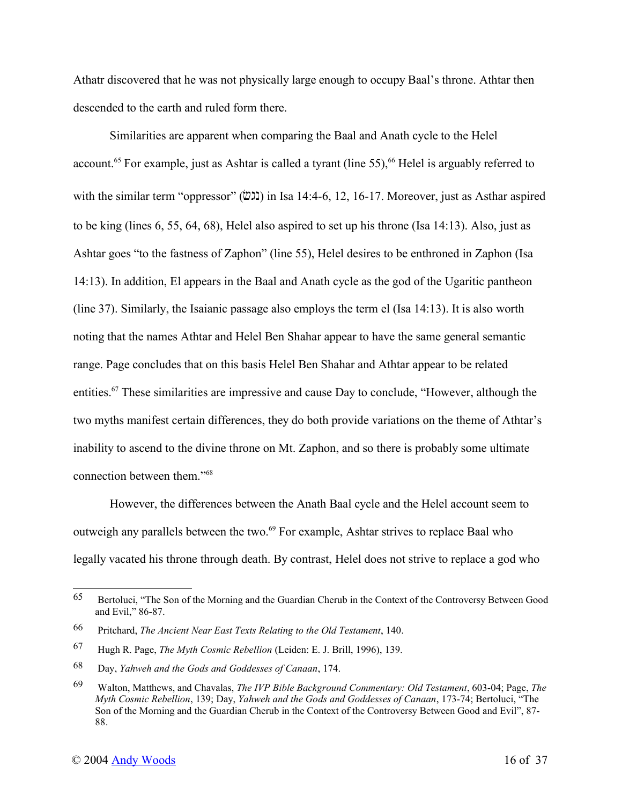Athatr discovered that he was not physically large enough to occupy Baal's throne. Athtar then descended to the earth and ruled form there.

Similarities are apparent when comparing the Baal and Anath cycle to the Helel account.<sup>65</sup> For example, just as Ashtar is called a tyrant (line 55),<sup>66</sup> Helel is arguably referred to with the similar term "oppressor"  $(\ddot{\omega})$  in Isa 14:4-6, 12, 16-17. Moreover, just as Asthar aspired to be king (lines 6, 55, 64, 68), Helel also aspired to set up his throne (Isa 14:13). Also, just as Ashtar goes "to the fastness of Zaphon" (line 55), Helel desires to be enthroned in Zaphon (Isa 14:13). In addition, El appears in the Baal and Anath cycle as the god of the Ugaritic pantheon (line 37). Similarly, the Isaianic passage also employs the term el (Isa 14:13). It is also worth noting that the names Athtar and Helel Ben Shahar appear to have the same general semantic range. Page concludes that on this basis Helel Ben Shahar and Athtar appear to be related entities.<sup>67</sup> These similarities are impressive and cause Day to conclude, "However, although the two myths manifest certain differences, they do both provide variations on the theme of Athtar's inability to ascend to the divine throne on Mt. Zaphon, and so there is probably some ultimate connection between them."<sup>68</sup>

However, the differences between the Anath Baal cycle and the Helel account seem to outweigh any parallels between the two.<sup>69</sup> For example, Ashtar strives to replace Baal who legally vacated his throne through death. By contrast, Helel does not strive to replace a god who

<sup>65</sup> Bertoluci, "The Son of the Morning and the Guardian Cherub in the Context of the Controversy Between Good and Evil," 86-87.

<sup>66</sup> Pritchard, *The Ancient Near East Texts Relating to the Old Testament*, 140.

<sup>67</sup> Hugh R. Page, *The Myth Cosmic Rebellion* (Leiden: E. J. Brill, 1996), 139.

<sup>68</sup> Day, *Yahweh and the Gods and Goddesses of Canaan*, 174.

<sup>69</sup> Walton, Matthews, and Chavalas, *The IVP Bible Background Commentary: Old Testament*, 603-04; Page, *The Myth Cosmic Rebellion*, 139; Day, *Yahweh and the Gods and Goddesses of Canaan*, 173-74; Bertoluci, "The Son of the Morning and the Guardian Cherub in the Context of the Controversy Between Good and Evil", 87- 88.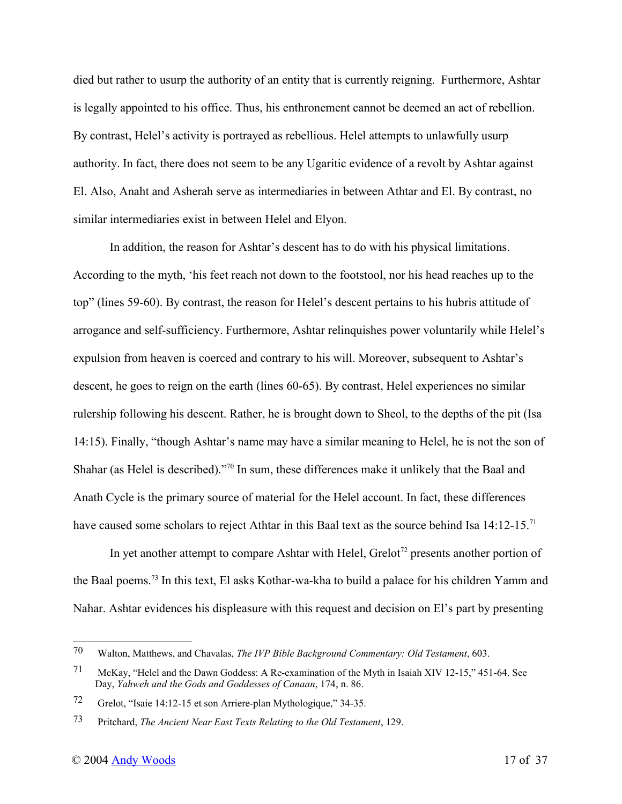died but rather to usurp the authority of an entity that is currently reigning. Furthermore, Ashtar is legally appointed to his office. Thus, his enthronement cannot be deemed an act of rebellion. By contrast, Helel's activity is portrayed as rebellious. Helel attempts to unlawfully usurp authority. In fact, there does not seem to be any Ugaritic evidence of a revolt by Ashtar against El. Also, Anaht and Asherah serve as intermediaries in between Athtar and El. By contrast, no similar intermediaries exist in between Helel and Elyon.

In addition, the reason for Ashtar's descent has to do with his physical limitations. According to the myth, 'his feet reach not down to the footstool, nor his head reaches up to the top" (lines 59-60). By contrast, the reason for Helel's descent pertains to his hubris attitude of arrogance and self-sufficiency. Furthermore, Ashtar relinquishes power voluntarily while Helel's expulsion from heaven is coerced and contrary to his will. Moreover, subsequent to Ashtar's descent, he goes to reign on the earth (lines 60-65). By contrast, Helel experiences no similar rulership following his descent. Rather, he is brought down to Sheol, to the depths of the pit (Isa 14:15). Finally, "though Ashtar's name may have a similar meaning to Helel, he is not the son of Shahar (as Helel is described)."<sup>70</sup> In sum, these differences make it unlikely that the Baal and Anath Cycle is the primary source of material for the Helel account. In fact, these differences have caused some scholars to reject Athtar in this Baal text as the source behind Isa 14:12-15.<sup>71</sup>

In yet another attempt to compare Ashtar with Helel, Grelot<sup> $72$ </sup> presents another portion of the Baal poems.<sup>73</sup> In this text, El asks Kothar-wa-kha to build a palace for his children Yamm and Nahar. Ashtar evidences his displeasure with this request and decision on El's part by presenting

<sup>70</sup> Walton, Matthews, and Chavalas, *The IVP Bible Background Commentary: Old Testament*, 603.

<sup>71</sup> McKay, "Helel and the Dawn Goddess: A Re-examination of the Myth in Isaiah XIV 12-15," 451-64. See Day, *Yahweh and the Gods and Goddesses of Canaan*, 174, n. 86.

<sup>72</sup> Grelot, "Isaie 14:12-15 et son Arriere-plan Mythologique," 34-35.

<sup>73</sup> Pritchard, *The Ancient Near East Texts Relating to the Old Testament*, 129.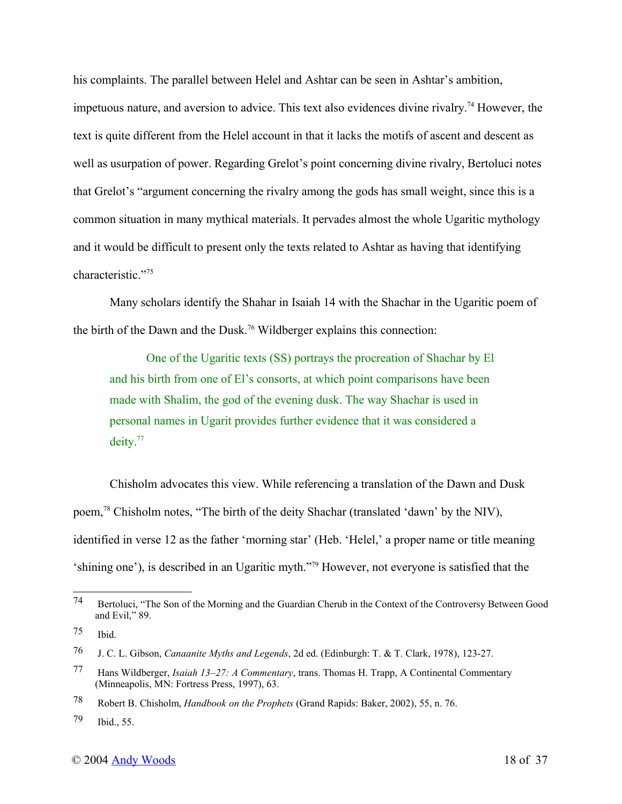his complaints. The parallel between Helel and Ashtar can be seen in Ashtar's ambition, impetuous nature, and aversion to advice. This text also evidences divine rivalry.<sup>74</sup> However, the text is quite different from the Helel account in that it lacks the motifs of ascent and descent as well as usurpation of power. Regarding Grelot's point concerning divine rivalry, Bertoluci notes that Grelot's "argument concerning the rivalry among the gods has small weight, since this is a common situation in many mythical materials. It pervades almost the whole Ugaritic mythology and it would be difficult to present only the texts related to Ashtar as having that identifying characteristic."<sup>75</sup>

Many scholars identify the Shahar in Isaiah 14 with the Shachar in the Ugaritic poem of the birth of the Dawn and the Dusk.<sup>76</sup> Wildberger explains this connection:

One of the Ugaritic texts (SS) portrays the procreation of Shachar by El and his birth from one of El's consorts, at which point comparisons have been made with Shalim, the god of the evening dusk. The way Shachar is used in personal names in Ugarit provides further evidence that it was considered a deity.<sup>77</sup>

Chisholm advocates this view. While referencing a translation of the Dawn and Dusk poem,<sup>78</sup> Chisholm notes, "The birth of the deity Shachar (translated 'dawn' by the NIV), identified in verse 12 as the father 'morning star' (Heb. 'Helel,' a proper name or title meaning 'shining one'), is described in an Ugaritic myth."<sup>79</sup> However, not everyone is satisfied that the

<sup>74</sup> Bertoluci, "The Son of the Morning and the Guardian Cherub in the Context of the Controversy Between Good and Evil," 89.

<sup>75</sup> Ibid.

<sup>76</sup> J. C. L. Gibson, *Canaanite Myths and Legends*, 2d ed. (Edinburgh: T. & T. Clark, 1978), 123-27.

<sup>77</sup> Hans Wildberger, *Isaiah 13–27: A Commentary*, trans. Thomas H. Trapp, A Continental Commentary (Minneapolis, MN: Fortress Press, 1997), 63.

<sup>78</sup> Robert B. Chisholm, *Handbook on the Prophets* (Grand Rapids: Baker, 2002), 55, n. 76.

<sup>79</sup> Ibid., 55.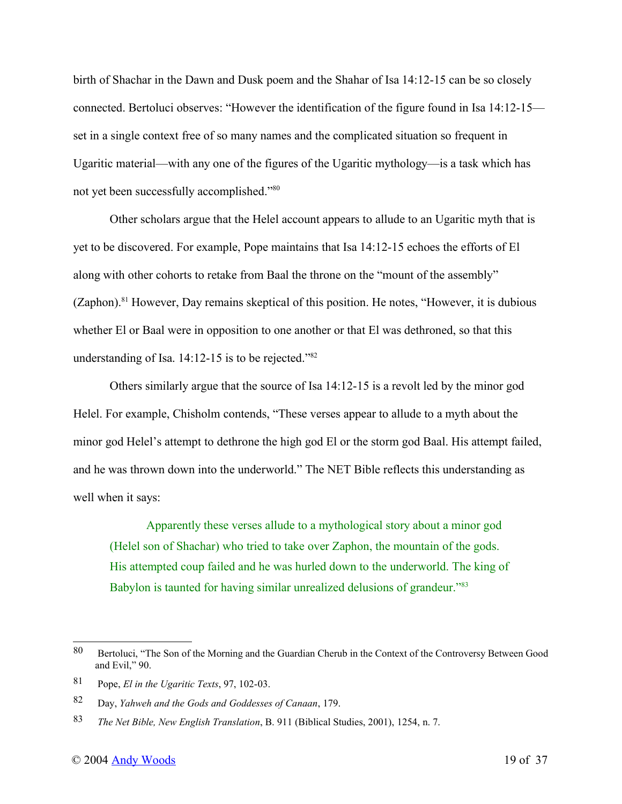birth of Shachar in the Dawn and Dusk poem and the Shahar of Isa 14:12-15 can be so closely connected. Bertoluci observes: "However the identification of the figure found in Isa 14:12-15 set in a single context free of so many names and the complicated situation so frequent in Ugaritic material—with any one of the figures of the Ugaritic mythology—is a task which has not yet been successfully accomplished."<sup>80</sup>

Other scholars argue that the Helel account appears to allude to an Ugaritic myth that is yet to be discovered. For example, Pope maintains that Isa 14:12-15 echoes the efforts of El along with other cohorts to retake from Baal the throne on the "mount of the assembly"  $(Zaphon).<sup>81</sup>$  However, Day remains skeptical of this position. He notes, "However, it is dubious whether El or Baal were in opposition to one another or that El was dethroned, so that this understanding of Isa. 14:12-15 is to be rejected."<sup>82</sup>

Others similarly argue that the source of Isa 14:12-15 is a revolt led by the minor god Helel. For example, Chisholm contends, "These verses appear to allude to a myth about the minor god Helel's attempt to dethrone the high god El or the storm god Baal. His attempt failed, and he was thrown down into the underworld." The NET Bible reflects this understanding as well when it says:

Apparently these verses allude to a mythological story about a minor god (Helel son of Shachar) who tried to take over Zaphon, the mountain of the gods. His attempted coup failed and he was hurled down to the underworld. The king of Babylon is taunted for having similar unrealized delusions of grandeur."<sup>83</sup>

<sup>80</sup> Bertoluci, "The Son of the Morning and the Guardian Cherub in the Context of the Controversy Between Good and Evil," 90.

<sup>81</sup> Pope, *El in the Ugaritic Texts*, 97, 102-03.

<sup>82</sup> Day, *Yahweh and the Gods and Goddesses of Canaan*, 179.

<sup>83</sup> *The Net Bible, New English Translation*, B. 911 (Biblical Studies, 2001), 1254, n. 7.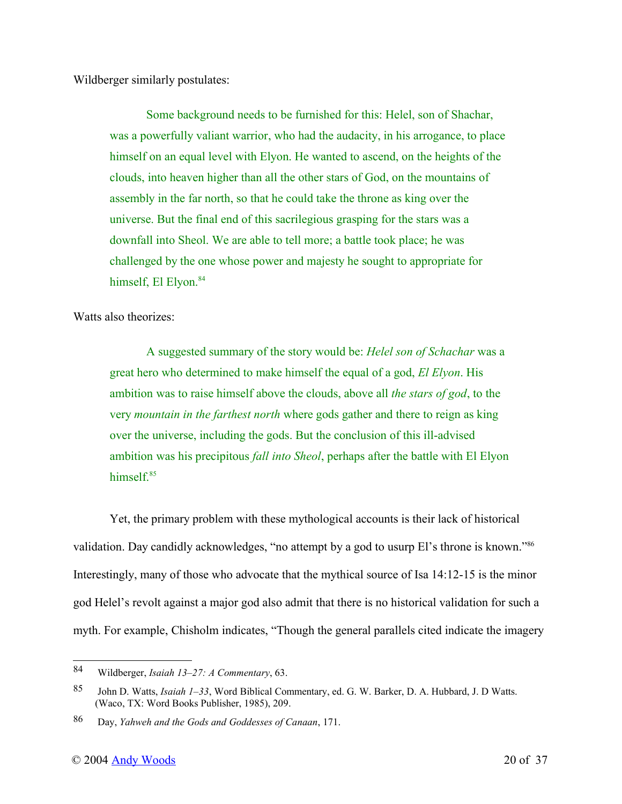Wildberger similarly postulates:

Some background needs to be furnished for this: Helel, son of Shachar, was a powerfully valiant warrior, who had the audacity, in his arrogance, to place himself on an equal level with Elyon. He wanted to ascend, on the heights of the clouds, into heaven higher than all the other stars of God, on the mountains of assembly in the far north, so that he could take the throne as king over the universe. But the final end of this sacrilegious grasping for the stars was a downfall into Sheol. We are able to tell more; a battle took place; he was challenged by the one whose power and majesty he sought to appropriate for himself, El Elyon.<sup>84</sup>

Watts also theorizes:

A suggested summary of the story would be: *Helel son of Schachar* was a great hero who determined to make himself the equal of a god, *El Elyon*. His ambition was to raise himself above the clouds, above all *the stars of god*, to the very *mountain in the farthest north* where gods gather and there to reign as king over the universe, including the gods. But the conclusion of this ill-advised ambition was his precipitous *fall into Sheol*, perhaps after the battle with El Elyon himself<sup>85</sup>

Yet, the primary problem with these mythological accounts is their lack of historical validation. Day candidly acknowledges, "no attempt by a god to usurp El's throne is known."<sup>86</sup> Interestingly, many of those who advocate that the mythical source of Isa 14:12-15 is the minor god Helel's revolt against a major god also admit that there is no historical validation for such a myth. For example, Chisholm indicates, "Though the general parallels cited indicate the imagery

<sup>84</sup> Wildberger, *Isaiah 13–27: A Commentary*, 63.

<sup>85</sup> John D. Watts, *Isaiah 1–33*, Word Biblical Commentary, ed. G. W. Barker, D. A. Hubbard, J. D Watts. (Waco, TX: Word Books Publisher, 1985), 209.

<sup>86</sup> Day, *Yahweh and the Gods and Goddesses of Canaan*, 171.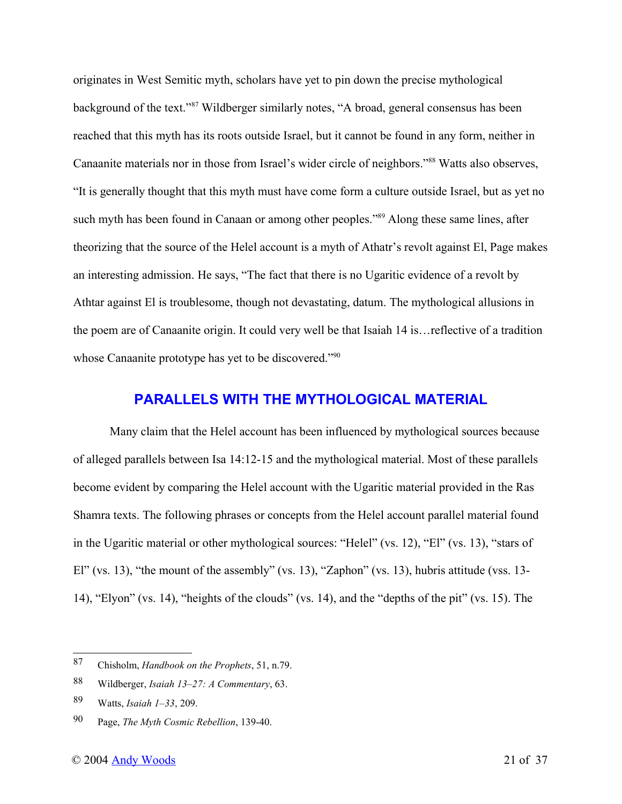originates in West Semitic myth, scholars have yet to pin down the precise mythological background of the text."<sup>87</sup> Wildberger similarly notes, "A broad, general consensus has been reached that this myth has its roots outside Israel, but it cannot be found in any form, neither in Canaanite materials nor in those from Israel's wider circle of neighbors."<sup>88</sup> Watts also observes, "It is generally thought that this myth must have come form a culture outside Israel, but as yet no such myth has been found in Canaan or among other peoples."<sup>89</sup> Along these same lines, after theorizing that the source of the Helel account is a myth of Athatr's revolt against El, Page makes an interesting admission. He says, "The fact that there is no Ugaritic evidence of a revolt by Athtar against El is troublesome, though not devastating, datum. The mythological allusions in the poem are of Canaanite origin. It could very well be that Isaiah 14 is…reflective of a tradition whose Canaanite prototype has yet to be discovered."<sup>90</sup>

#### **PARALLELS WITH THE MYTHOLOGICAL MATERIAL**

Many claim that the Helel account has been influenced by mythological sources because of alleged parallels between Isa 14:12-15 and the mythological material. Most of these parallels become evident by comparing the Helel account with the Ugaritic material provided in the Ras Shamra texts. The following phrases or concepts from the Helel account parallel material found in the Ugaritic material or other mythological sources: "Helel" (vs. 12), "El" (vs. 13), "stars of El" (vs. 13), "the mount of the assembly" (vs. 13), "Zaphon" (vs. 13), hubris attitude (vss. 13- 14), "Elyon" (vs. 14), "heights of the clouds" (vs. 14), and the "depths of the pit" (vs. 15). The

<sup>87</sup> Chisholm, *Handbook on the Prophets*, 51, n.79.

<sup>88</sup> Wildberger, *Isaiah 13–27: A Commentary*, 63.

<sup>89</sup> Watts, *Isaiah 1–33*, 209.

<sup>90</sup> Page, *The Myth Cosmic Rebellion*, 139-40.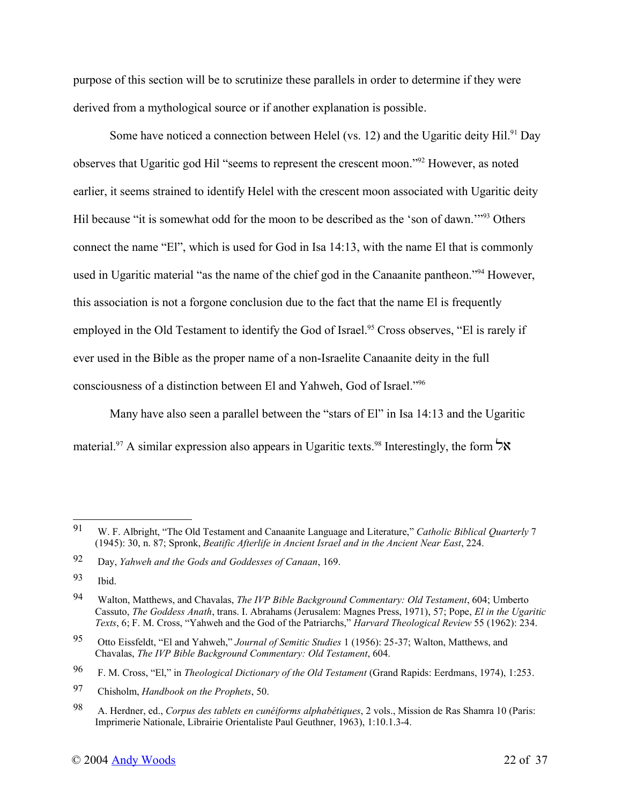purpose of this section will be to scrutinize these parallels in order to determine if they were derived from a mythological source or if another explanation is possible.

Some have noticed a connection between Helel (vs. 12) and the Ugaritic deity Hil.<sup>91</sup> Day observes that Ugaritic god Hil "seems to represent the crescent moon."<sup>92</sup> However, as noted earlier, it seems strained to identify Helel with the crescent moon associated with Ugaritic deity Hil because "it is somewhat odd for the moon to be described as the 'son of dawn.'"<sup>93</sup> Others connect the name "El", which is used for God in Isa 14:13, with the name El that is commonly used in Ugaritic material "as the name of the chief god in the Canaanite pantheon."<sup>94</sup> However, this association is not a forgone conclusion due to the fact that the name El is frequently employed in the Old Testament to identify the God of Israel.<sup>95</sup> Cross observes, "El is rarely if ever used in the Bible as the proper name of a non-Israelite Canaanite deity in the full consciousness of a distinction between El and Yahweh, God of Israel."<sup>96</sup>

Many have also seen a parallel between the "stars of El" in Isa 14:13 and the Ugaritic material.<sup>97</sup> A similar expression also appears in Ugaritic texts.<sup>98</sup> Interestingly, the form  $\forall$ **X** 

<sup>91</sup> W. F. Albright, "The Old Testament and Canaanite Language and Literature," *Catholic Biblical Quarterly* 7 (1945): 30, n. 87; Spronk, *Beatific Afterlife in Ancient Israel and in the Ancient Near East*, 224.

<sup>92</sup> Day, *Yahweh and the Gods and Goddesses of Canaan*, 169.

<sup>93</sup> Ibid.

<sup>94</sup> Walton, Matthews, and Chavalas, *The IVP Bible Background Commentary: Old Testament*, 604; Umberto Cassuto, *The Goddess Anath*, trans. I. Abrahams (Jerusalem: Magnes Press, 1971), 57; Pope, *El in the Ugaritic Texts*, 6; F. M. Cross, "Yahweh and the God of the Patriarchs," *Harvard Theological Review* 55 (1962): 234.

<sup>95</sup> Otto Eissfeldt, "El and Yahweh," *Journal of Semitic Studies* 1 (1956): 25-37; Walton, Matthews, and Chavalas, *The IVP Bible Background Commentary: Old Testament*, 604.

<sup>96</sup> F. M. Cross, "El," in *Theological Dictionary of the Old Testament* (Grand Rapids: Eerdmans, 1974), 1:253.

<sup>97</sup> Chisholm, *Handbook on the Prophets*, 50.

<sup>98</sup> A. Herdner, ed., *Corpus des tablets en cunéiforms alphabétiques*, 2 vols., Mission de Ras Shamra 10 (Paris: Imprimerie Nationale, Librairie Orientaliste Paul Geuthner, 1963), 1:10.1.3-4.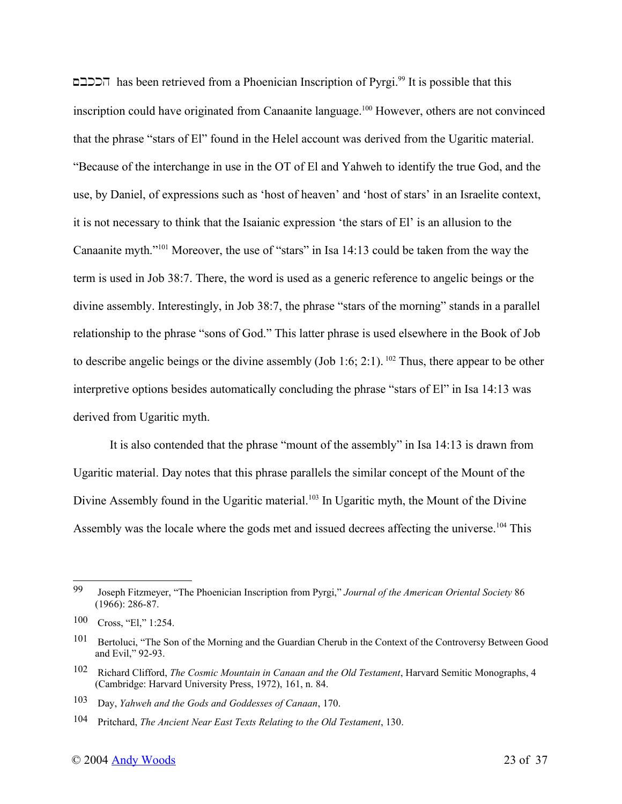~bkkh has been retrieved from a Phoenician Inscription of Pyrgi.<sup>99</sup> It is possible that this inscription could have originated from Canaanite language.<sup>100</sup> However, others are not convinced that the phrase "stars of El" found in the Helel account was derived from the Ugaritic material. "Because of the interchange in use in the OT of El and Yahweh to identify the true God, and the use, by Daniel, of expressions such as 'host of heaven' and 'host of stars' in an Israelite context, it is not necessary to think that the Isaianic expression 'the stars of El' is an allusion to the Canaanite myth."<sup>101</sup> Moreover, the use of "stars" in Isa 14:13 could be taken from the way the term is used in Job 38:7. There, the word is used as a generic reference to angelic beings or the divine assembly. Interestingly, in Job 38:7, the phrase "stars of the morning" stands in a parallel relationship to the phrase "sons of God." This latter phrase is used elsewhere in the Book of Job to describe angelic beings or the divine assembly (Job 1:6; 2:1).<sup>102</sup> Thus, there appear to be other interpretive options besides automatically concluding the phrase "stars of El" in Isa 14:13 was derived from Ugaritic myth.

It is also contended that the phrase "mount of the assembly" in Isa 14:13 is drawn from Ugaritic material. Day notes that this phrase parallels the similar concept of the Mount of the Divine Assembly found in the Ugaritic material.<sup>103</sup> In Ugaritic myth, the Mount of the Divine Assembly was the locale where the gods met and issued decrees affecting the universe.<sup>104</sup> This

<sup>99</sup> Joseph Fitzmeyer, "The Phoenician Inscription from Pyrgi," *Journal of the American Oriental Society* 86  $(1966): 286-87.$ 

<sup>100</sup> Cross, "El," 1:254.

<sup>101</sup> Bertoluci, "The Son of the Morning and the Guardian Cherub in the Context of the Controversy Between Good and Evil," 92-93.

<sup>102</sup> Richard Clifford, *The Cosmic Mountain in Canaan and the Old Testament*, Harvard Semitic Monographs, 4 (Cambridge: Harvard University Press, 1972), 161, n. 84.

<sup>103</sup> Day, *Yahweh and the Gods and Goddesses of Canaan*, 170.

<sup>104</sup> Pritchard, *The Ancient Near East Texts Relating to the Old Testament*, 130.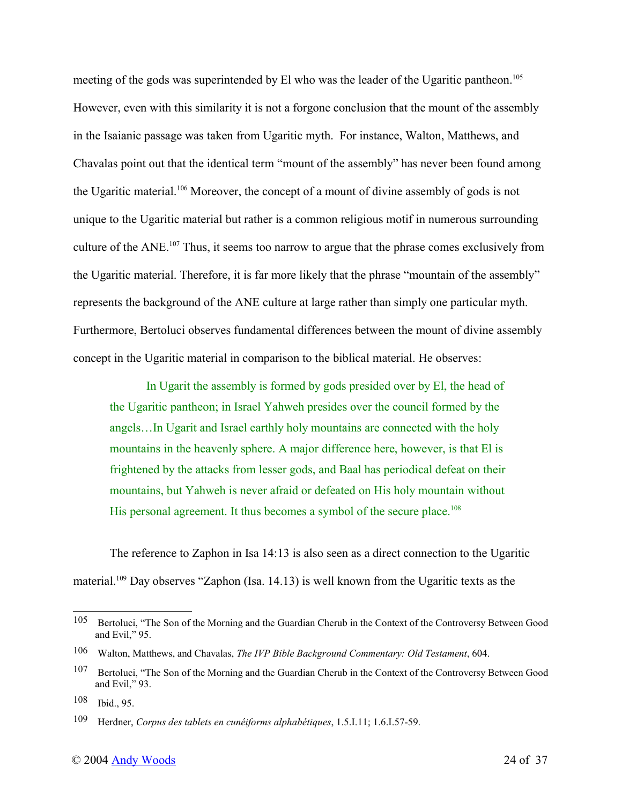meeting of the gods was superintended by El who was the leader of the Ugaritic pantheon.<sup>105</sup> However, even with this similarity it is not a forgone conclusion that the mount of the assembly in the Isaianic passage was taken from Ugaritic myth. For instance, Walton, Matthews, and Chavalas point out that the identical term "mount of the assembly" has never been found among the Ugaritic material.<sup>106</sup> Moreover, the concept of a mount of divine assembly of gods is not unique to the Ugaritic material but rather is a common religious motif in numerous surrounding culture of the ANE.<sup>107</sup> Thus, it seems too narrow to argue that the phrase comes exclusively from the Ugaritic material. Therefore, it is far more likely that the phrase "mountain of the assembly" represents the background of the ANE culture at large rather than simply one particular myth. Furthermore, Bertoluci observes fundamental differences between the mount of divine assembly concept in the Ugaritic material in comparison to the biblical material. He observes:

In Ugarit the assembly is formed by gods presided over by El, the head of the Ugaritic pantheon; in Israel Yahweh presides over the council formed by the angels…In Ugarit and Israel earthly holy mountains are connected with the holy mountains in the heavenly sphere. A major difference here, however, is that El is frightened by the attacks from lesser gods, and Baal has periodical defeat on their mountains, but Yahweh is never afraid or defeated on His holy mountain without His personal agreement. It thus becomes a symbol of the secure place.<sup>108</sup>

The reference to Zaphon in Isa 14:13 is also seen as a direct connection to the Ugaritic material.<sup>109</sup> Day observes "Zaphon (Isa. 14.13) is well known from the Ugaritic texts as the

<sup>105</sup> Bertoluci, "The Son of the Morning and the Guardian Cherub in the Context of the Controversy Between Good and Evil," 95.

<sup>106</sup> Walton, Matthews, and Chavalas, *The IVP Bible Background Commentary: Old Testament*, 604.

<sup>107</sup> Bertoluci, "The Son of the Morning and the Guardian Cherub in the Context of the Controversy Between Good and Evil," 93.

<sup>108</sup> Ibid., 95.

<sup>109</sup> Herdner, *Corpus des tablets en cunéiforms alphabétiques*, 1.5.I.11; 1.6.I.57-59.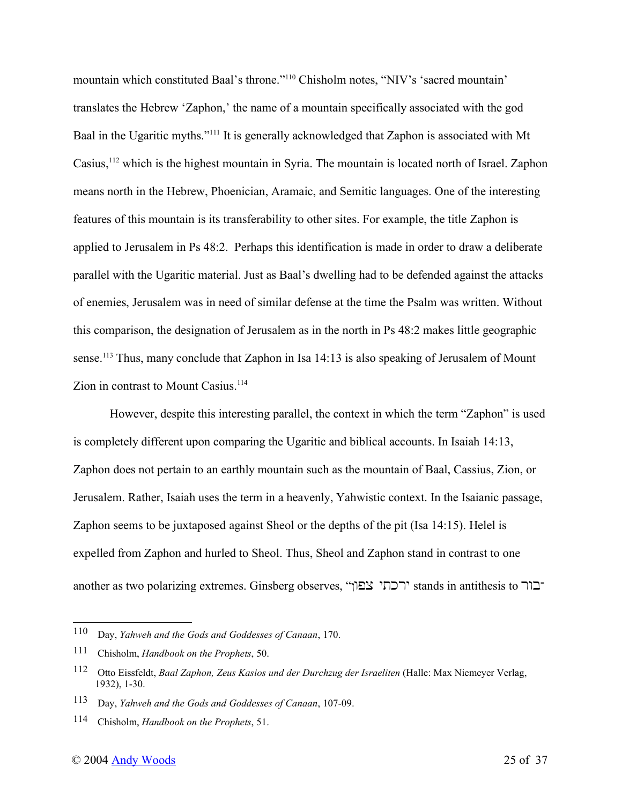mountain which constituted Baal's throne."<sup>110</sup> Chisholm notes, "NIV's 'sacred mountain' translates the Hebrew 'Zaphon,' the name of a mountain specifically associated with the god Baal in the Ugaritic myths."<sup>111</sup> It is generally acknowledged that Zaphon is associated with Mt Casius,<sup>112</sup> which is the highest mountain in Syria. The mountain is located north of Israel. Zaphon means north in the Hebrew, Phoenician, Aramaic, and Semitic languages. One of the interesting features of this mountain is its transferability to other sites. For example, the title Zaphon is applied to Jerusalem in Ps 48:2. Perhaps this identification is made in order to draw a deliberate parallel with the Ugaritic material. Just as Baal's dwelling had to be defended against the attacks of enemies, Jerusalem was in need of similar defense at the time the Psalm was written. Without this comparison, the designation of Jerusalem as in the north in Ps 48:2 makes little geographic sense.<sup>113</sup> Thus, many conclude that Zaphon in Isa 14:13 is also speaking of Jerusalem of Mount Zion in contrast to Mount Casius.<sup>114</sup>

However, despite this interesting parallel, the context in which the term "Zaphon" is used is completely different upon comparing the Ugaritic and biblical accounts. In Isaiah 14:13, Zaphon does not pertain to an earthly mountain such as the mountain of Baal, Cassius, Zion, or Jerusalem. Rather, Isaiah uses the term in a heavenly, Yahwistic context. In the Isaianic passage, Zaphon seems to be juxtaposed against Sheol or the depths of the pit (Isa 14:15). Helel is expelled from Zaphon and hurled to Sheol. Thus, Sheol and Zaphon stand in contrast to one another as two polarizing extremes. Ginsberg observes, "רכתי צפון" stands in antithesis to בור

<sup>110</sup> Day, *Yahweh and the Gods and Goddesses of Canaan*, 170.

<sup>111</sup> Chisholm, *Handbook on the Prophets*, 50.

<sup>112</sup> Otto Eissfeldt, *Baal Zaphon, Zeus Kasios und der Durchzug der Israeliten* (Halle: Max Niemeyer Verlag, 1932), 1-30.

<sup>113</sup> Day, *Yahweh and the Gods and Goddesses of Canaan*, 107-09.

<sup>114</sup> Chisholm, *Handbook on the Prophets*, 51.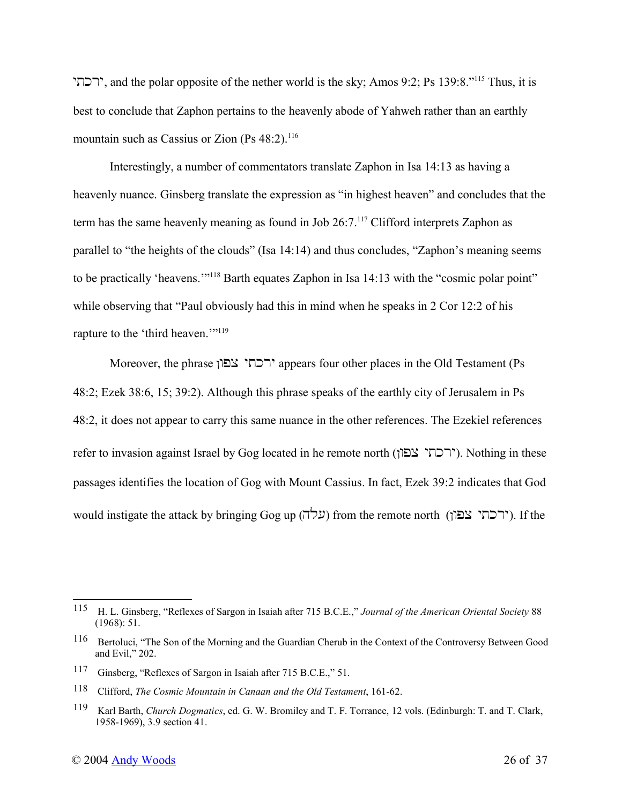ירכתי; and the polar opposite of the nether world is the sky; Amos 9:2; Ps 139:8."<sup>115</sup> Thus, it is best to conclude that Zaphon pertains to the heavenly abode of Yahweh rather than an earthly mountain such as Cassius or Zion  $(Ps 48:2)$ .<sup>116</sup>

Interestingly, a number of commentators translate Zaphon in Isa 14:13 as having a heavenly nuance. Ginsberg translate the expression as "in highest heaven" and concludes that the term has the same heavenly meaning as found in Job 26:7.<sup>117</sup> Clifford interprets Zaphon as parallel to "the heights of the clouds" (Isa 14:14) and thus concludes, "Zaphon's meaning seems to be practically 'heavens.'"<sup>118</sup> Barth equates Zaphon in Isa 14:13 with the "cosmic polar point" while observing that "Paul obviously had this in mind when he speaks in 2 Cor 12:2 of his rapture to the 'third heaven.""<sup>119</sup>

Moreover, the phrase ירכתי צפון appears four other places in the Old Testament (Ps 48:2; Ezek 38:6, 15; 39:2). Although this phrase speaks of the earthly city of Jerusalem in Ps 48:2, it does not appear to carry this same nuance in the other references. The Ezekiel references refer to invasion against Israel by Gog located in he remote north (ירכתי צפון). Nothing in these passages identifies the location of Gog with Mount Cassius. In fact, Ezek 39:2 indicates that God would instigate the attack by bringing Gog up (עלה) from the remote north (ירכתי צפון). If the

<sup>115</sup> H. L. Ginsberg, "Reflexes of Sargon in Isaiah after 715 B.C.E.," *Journal of the American Oriental Society* 88 (1968): 51.

<sup>116</sup> Bertoluci, "The Son of the Morning and the Guardian Cherub in the Context of the Controversy Between Good and Evil," 202.

<sup>117</sup> Ginsberg, "Reflexes of Sargon in Isaiah after 715 B.C.E.," 51.

<sup>118</sup> Clifford, *The Cosmic Mountain in Canaan and the Old Testament*, 161-62.

<sup>119</sup> Karl Barth, *Church Dogmatics*, ed. G. W. Bromiley and T. F. Torrance, 12 vols. (Edinburgh: T. and T. Clark, 1958-1969), 3.9 section 41.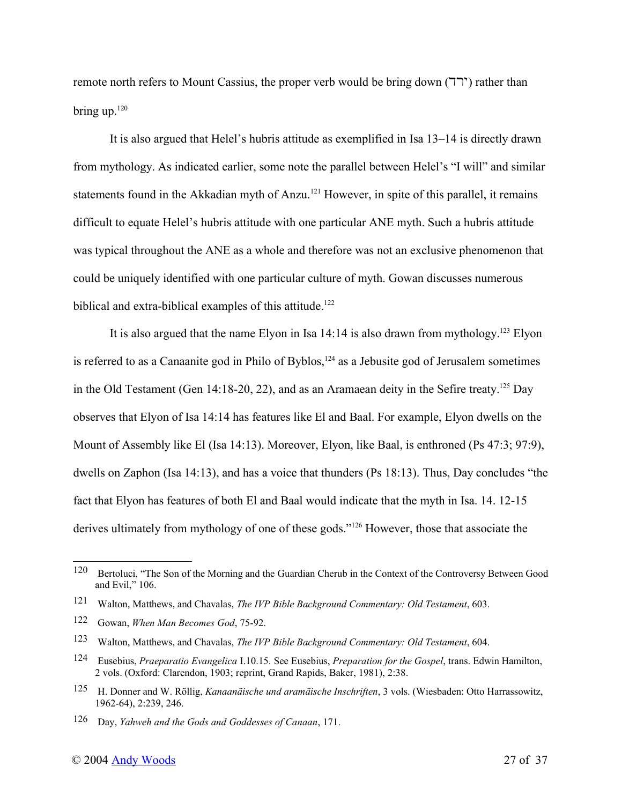remote north refers to Mount Cassius, the proper verb would be bring down  $(T^{\prime})$  rather than bring up. $120$ 

It is also argued that Helel's hubris attitude as exemplified in Isa 13–14 is directly drawn from mythology. As indicated earlier, some note the parallel between Helel's "I will" and similar statements found in the Akkadian myth of Anzu.<sup>121</sup> However, in spite of this parallel, it remains difficult to equate Helel's hubris attitude with one particular ANE myth. Such a hubris attitude was typical throughout the ANE as a whole and therefore was not an exclusive phenomenon that could be uniquely identified with one particular culture of myth. Gowan discusses numerous biblical and extra-biblical examples of this attitude.<sup>122</sup>

It is also argued that the name Elyon in Isa  $14:14$  is also drawn from mythology.<sup>123</sup> Elyon is referred to as a Canaanite god in Philo of Byblos, $124$  as a Jebusite god of Jerusalem sometimes in the Old Testament (Gen 14:18-20, 22), and as an Aramaean deity in the Sefire treaty.<sup>125</sup> Day observes that Elyon of Isa 14:14 has features like El and Baal. For example, Elyon dwells on the Mount of Assembly like El (Isa 14:13). Moreover, Elyon, like Baal, is enthroned (Ps 47:3; 97:9), dwells on Zaphon (Isa 14:13), and has a voice that thunders (Ps 18:13). Thus, Day concludes "the fact that Elyon has features of both El and Baal would indicate that the myth in Isa. 14. 12-15 derives ultimately from mythology of one of these gods."<sup>126</sup> However, those that associate the

<sup>120</sup> Bertoluci, "The Son of the Morning and the Guardian Cherub in the Context of the Controversy Between Good and Evil," 106.

<sup>121</sup> Walton, Matthews, and Chavalas, *The IVP Bible Background Commentary: Old Testament*, 603.

<sup>122</sup> Gowan, *When Man Becomes God*, 75-92.

<sup>123</sup> Walton, Matthews, and Chavalas, *The IVP Bible Background Commentary: Old Testament*, 604.

<sup>124</sup> Eusebius, *Praeparatio Evangelica* I.10.15. See Eusebius, *Preparation for the Gospel*, trans. Edwin Hamilton, 2 vols. (Oxford: Clarendon, 1903; reprint, Grand Rapids, Baker, 1981), 2:38.

<sup>125</sup> H. Donner and W. Röllig, *Kanaanäische und aramäische Inschriften*, 3 vols. (Wiesbaden: Otto Harrassowitz, 1962-64), 2:239, 246.

<sup>126</sup> Day, *Yahweh and the Gods and Goddesses of Canaan*, 171.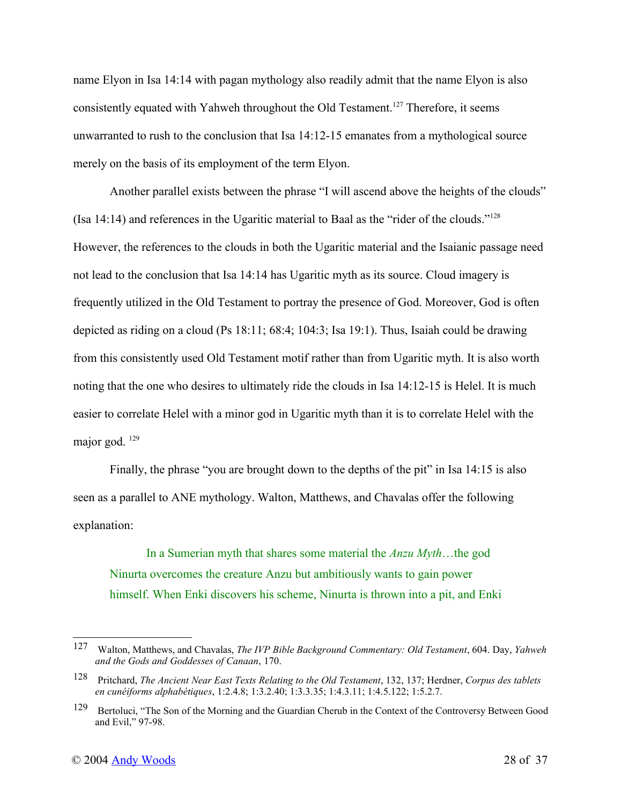name Elyon in Isa 14:14 with pagan mythology also readily admit that the name Elyon is also consistently equated with Yahweh throughout the Old Testament.<sup>127</sup> Therefore, it seems unwarranted to rush to the conclusion that Isa 14:12-15 emanates from a mythological source merely on the basis of its employment of the term Elyon.

Another parallel exists between the phrase "I will ascend above the heights of the clouds" (Isa 14:14) and references in the Ugaritic material to Baal as the "rider of the clouds."<sup>128</sup> However, the references to the clouds in both the Ugaritic material and the Isaianic passage need not lead to the conclusion that Isa 14:14 has Ugaritic myth as its source. Cloud imagery is frequently utilized in the Old Testament to portray the presence of God. Moreover, God is often depicted as riding on a cloud (Ps 18:11; 68:4; 104:3; Isa 19:1). Thus, Isaiah could be drawing from this consistently used Old Testament motif rather than from Ugaritic myth. It is also worth noting that the one who desires to ultimately ride the clouds in Isa 14:12-15 is Helel. It is much easier to correlate Helel with a minor god in Ugaritic myth than it is to correlate Helel with the major god. <sup>129</sup>

Finally, the phrase "you are brought down to the depths of the pit" in Isa 14:15 is also seen as a parallel to ANE mythology. Walton, Matthews, and Chavalas offer the following explanation:

In a Sumerian myth that shares some material the *Anzu Myth*…the god Ninurta overcomes the creature Anzu but ambitiously wants to gain power himself. When Enki discovers his scheme, Ninurta is thrown into a pit, and Enki

<sup>127</sup> Walton, Matthews, and Chavalas, *The IVP Bible Background Commentary: Old Testament*, 604. Day, *Yahweh and the Gods and Goddesses of Canaan*, 170.

<sup>128</sup> Pritchard, *The Ancient Near East Texts Relating to the Old Testament*, 132, 137; Herdner, *Corpus des tablets en cunéiforms alphabétiques*, 1:2.4.8; 1:3.2.40; 1:3.3.35; 1:4.3.11; 1:4.5.122; 1:5.2.7.

<sup>129</sup> Bertoluci, "The Son of the Morning and the Guardian Cherub in the Context of the Controversy Between Good and Evil," 97-98.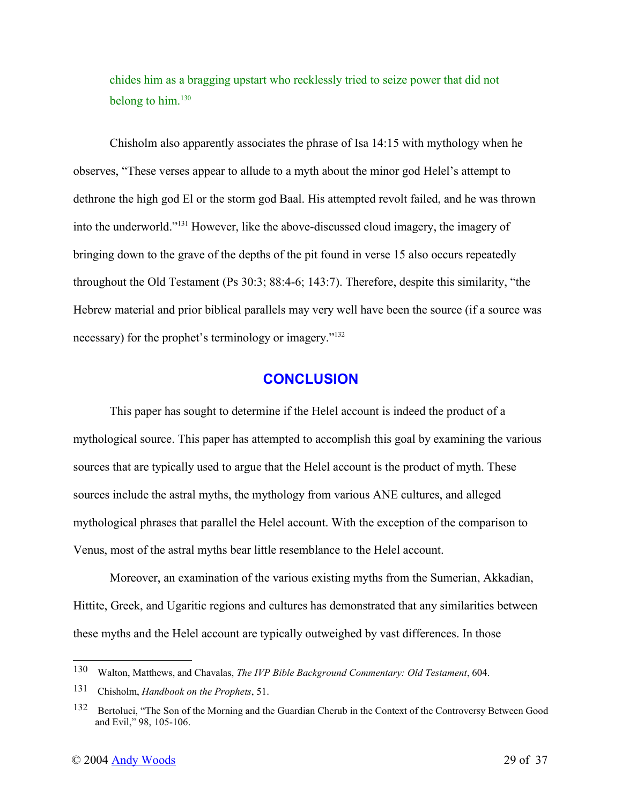chides him as a bragging upstart who recklessly tried to seize power that did not belong to him. $130$ 

Chisholm also apparently associates the phrase of Isa 14:15 with mythology when he observes, "These verses appear to allude to a myth about the minor god Helel's attempt to dethrone the high god El or the storm god Baal. His attempted revolt failed, and he was thrown into the underworld."<sup>131</sup> However, like the above-discussed cloud imagery, the imagery of bringing down to the grave of the depths of the pit found in verse 15 also occurs repeatedly throughout the Old Testament (Ps 30:3; 88:4-6; 143:7). Therefore, despite this similarity, "the Hebrew material and prior biblical parallels may very well have been the source (if a source was necessary) for the prophet's terminology or imagery."<sup>132</sup>

#### **CONCLUSION**

This paper has sought to determine if the Helel account is indeed the product of a mythological source. This paper has attempted to accomplish this goal by examining the various sources that are typically used to argue that the Helel account is the product of myth. These sources include the astral myths, the mythology from various ANE cultures, and alleged mythological phrases that parallel the Helel account. With the exception of the comparison to Venus, most of the astral myths bear little resemblance to the Helel account.

Moreover, an examination of the various existing myths from the Sumerian, Akkadian, Hittite, Greek, and Ugaritic regions and cultures has demonstrated that any similarities between these myths and the Helel account are typically outweighed by vast differences. In those

<sup>130</sup> Walton, Matthews, and Chavalas, *The IVP Bible Background Commentary: Old Testament*, 604.

<sup>131</sup> Chisholm, *Handbook on the Prophets*, 51.

<sup>132</sup> Bertoluci, "The Son of the Morning and the Guardian Cherub in the Context of the Controversy Between Good and Evil," 98, 105-106.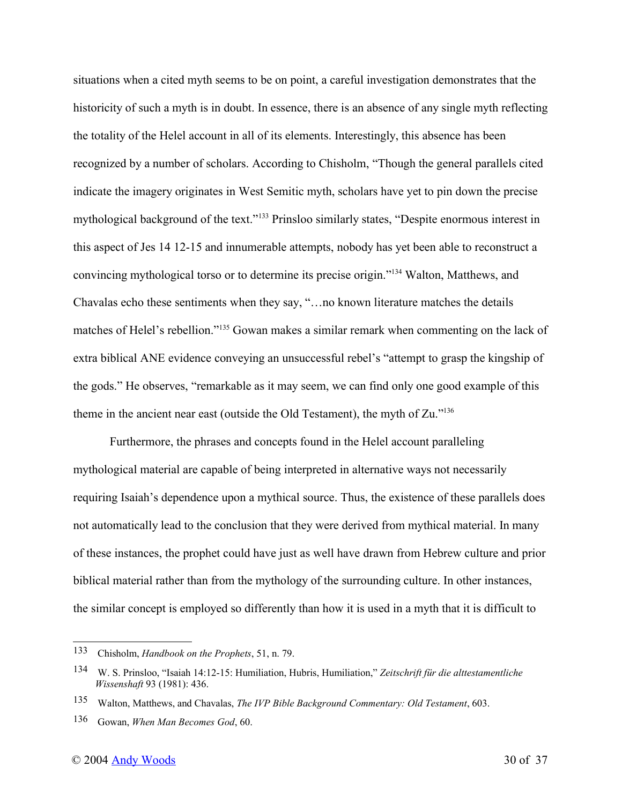situations when a cited myth seems to be on point, a careful investigation demonstrates that the historicity of such a myth is in doubt. In essence, there is an absence of any single myth reflecting the totality of the Helel account in all of its elements. Interestingly, this absence has been recognized by a number of scholars. According to Chisholm, "Though the general parallels cited indicate the imagery originates in West Semitic myth, scholars have yet to pin down the precise mythological background of the text."<sup>133</sup> Prinsloo similarly states, "Despite enormous interest in this aspect of Jes 14 12-15 and innumerable attempts, nobody has yet been able to reconstruct a convincing mythological torso or to determine its precise origin."<sup>134</sup> Walton, Matthews, and Chavalas echo these sentiments when they say, "…no known literature matches the details matches of Helel's rebellion."<sup>135</sup> Gowan makes a similar remark when commenting on the lack of extra biblical ANE evidence conveying an unsuccessful rebel's "attempt to grasp the kingship of the gods." He observes, "remarkable as it may seem, we can find only one good example of this theme in the ancient near east (outside the Old Testament), the myth of Zu."<sup>136</sup>

Furthermore, the phrases and concepts found in the Helel account paralleling mythological material are capable of being interpreted in alternative ways not necessarily requiring Isaiah's dependence upon a mythical source. Thus, the existence of these parallels does not automatically lead to the conclusion that they were derived from mythical material. In many of these instances, the prophet could have just as well have drawn from Hebrew culture and prior biblical material rather than from the mythology of the surrounding culture. In other instances, the similar concept is employed so differently than how it is used in a myth that it is difficult to

<sup>133</sup> Chisholm, *Handbook on the Prophets*, 51, n. 79.

<sup>134</sup> W. S. Prinsloo, "Isaiah 14:12-15: Humiliation, Hubris, Humiliation," *Zeitschrift für die alttestamentliche Wissenshaft* 93 (1981): 436.

<sup>135</sup> Walton, Matthews, and Chavalas, *The IVP Bible Background Commentary: Old Testament*, 603.

<sup>136</sup> Gowan, *When Man Becomes God*, 60.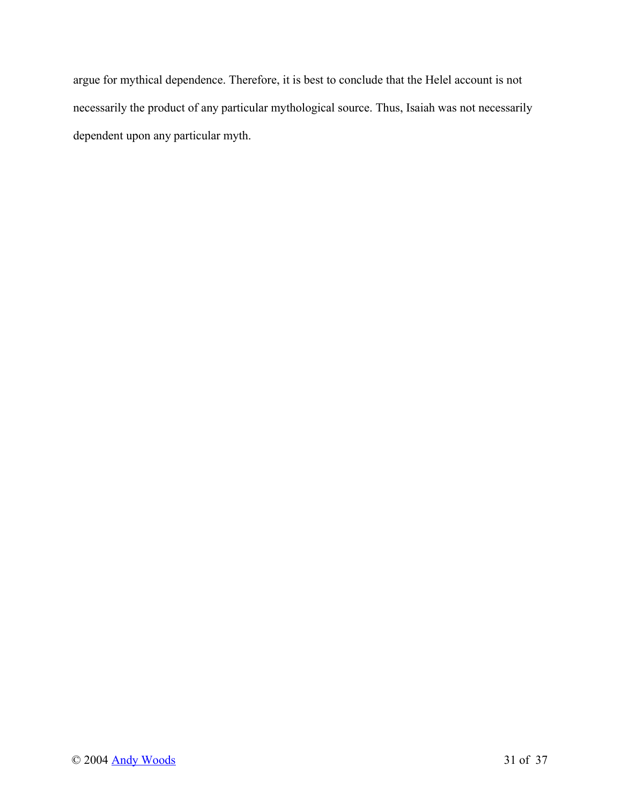argue for mythical dependence. Therefore, it is best to conclude that the Helel account is not necessarily the product of any particular mythological source. Thus, Isaiah was not necessarily dependent upon any particular myth.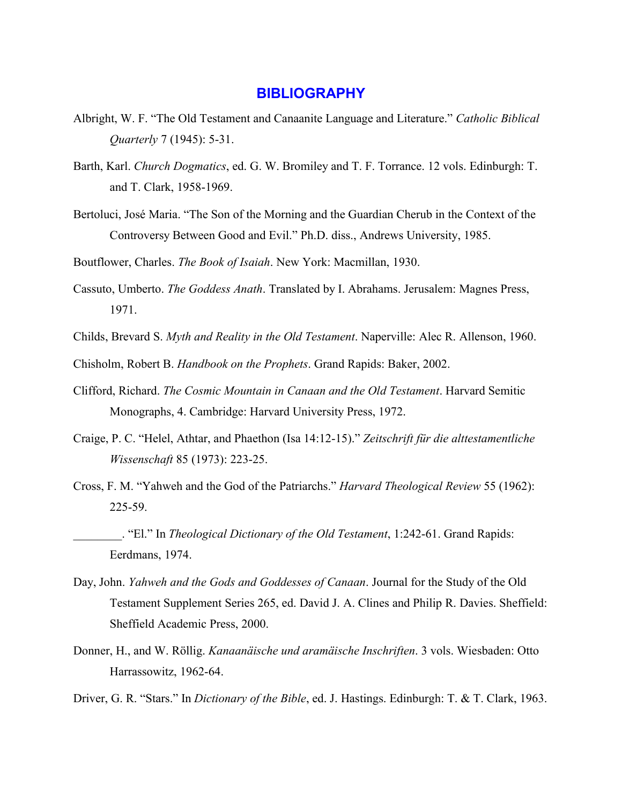#### **BIBLIOGRAPHY**

- Albright, W. F. "The Old Testament and Canaanite Language and Literature." *Catholic Biblical Quarterly* 7 (1945): 5-31.
- Barth, Karl. *Church Dogmatics*, ed. G. W. Bromiley and T. F. Torrance. 12 vols. Edinburgh: T. and T. Clark, 1958-1969.
- Bertoluci, José Maria. "The Son of the Morning and the Guardian Cherub in the Context of the Controversy Between Good and Evil." Ph.D. diss., Andrews University, 1985.
- Boutflower, Charles. *The Book of Isaiah*. New York: Macmillan, 1930.
- Cassuto, Umberto. *The Goddess Anath*. Translated by I. Abrahams. Jerusalem: Magnes Press, 1971.
- Childs, Brevard S. *Myth and Reality in the Old Testament*. Naperville: Alec R. Allenson, 1960.
- Chisholm, Robert B. *Handbook on the Prophets*. Grand Rapids: Baker, 2002.
- Clifford, Richard. *The Cosmic Mountain in Canaan and the Old Testament*. Harvard Semitic Monographs, 4. Cambridge: Harvard University Press, 1972.
- Craige, P. C. "Helel, Athtar, and Phaethon (Isa 14:12-15)." *Zeitschrift für die alttestamentliche Wissenschaft* 85 (1973): 223-25.
- Cross, F. M. "Yahweh and the God of the Patriarchs." *Harvard Theological Review* 55 (1962): 225-59.
	- \_\_\_\_\_\_\_\_. "El." In *Theological Dictionary of the Old Testament*, 1:242-61. Grand Rapids: Eerdmans, 1974.
- Day, John. *Yahweh and the Gods and Goddesses of Canaan*. Journal for the Study of the Old Testament Supplement Series 265, ed. David J. A. Clines and Philip R. Davies. Sheffield: Sheffield Academic Press, 2000.
- Donner, H., and W. Röllig. *Kanaanäische und aramäische Inschriften*. 3 vols. Wiesbaden: Otto Harrassowitz, 1962-64.
- Driver, G. R. "Stars." In *Dictionary of the Bible*, ed. J. Hastings. Edinburgh: T. & T. Clark, 1963.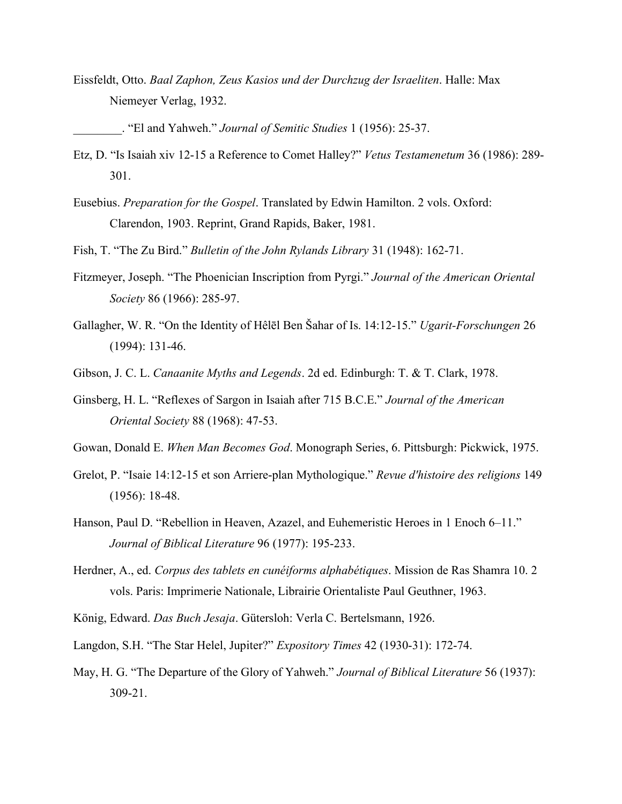Eissfeldt, Otto. *Baal Zaphon, Zeus Kasios und der Durchzug der Israeliten*. Halle: Max Niemeyer Verlag, 1932.

\_\_\_\_\_\_\_\_. "El and Yahweh." *Journal of Semitic Studies* 1 (1956): 25-37.

- Etz, D. "Is Isaiah xiv 12-15 a Reference to Comet Halley?" *Vetus Testamenetum* 36 (1986): 289- 301.
- Eusebius. *Preparation for the Gospel*. Translated by Edwin Hamilton. 2 vols. Oxford: Clarendon, 1903. Reprint, Grand Rapids, Baker, 1981.
- Fish, T. "The Zu Bird." *Bulletin of the John Rylands Library* 31 (1948): 162-71.
- Fitzmeyer, Joseph. "The Phoenician Inscription from Pyrgi." *Journal of the American Oriental Society* 86 (1966): 285-97.
- Gallagher, W. R. "On the Identity of Hêlēl Ben Šahar of Is. 14:12-15." *Ugarit-Forschungen* 26 (1994): 131-46.
- Gibson, J. C. L. *Canaanite Myths and Legends*. 2d ed. Edinburgh: T. & T. Clark, 1978.
- Ginsberg, H. L. "Reflexes of Sargon in Isaiah after 715 B.C.E." *Journal of the American Oriental Society* 88 (1968): 47-53.
- Gowan, Donald E. *When Man Becomes God*. Monograph Series, 6. Pittsburgh: Pickwick, 1975.
- Grelot, P. "Isaie 14:12-15 et son Arriere-plan Mythologique." *Revue d'histoire des religions* 149 (1956): 18-48.
- Hanson, Paul D. "Rebellion in Heaven, Azazel, and Euhemeristic Heroes in 1 Enoch 6–11." *Journal of Biblical Literature* 96 (1977): 195-233.
- Herdner, A., ed. *Corpus des tablets en cunéiforms alphabétiques*. Mission de Ras Shamra 10. 2 vols. Paris: Imprimerie Nationale, Librairie Orientaliste Paul Geuthner, 1963.
- König, Edward. *Das Buch Jesaja*. Gütersloh: Verla C. Bertelsmann, 1926.
- Langdon, S.H. "The Star Helel, Jupiter?" *Expository Times* 42 (1930-31): 172-74.
- May, H. G. "The Departure of the Glory of Yahweh." *Journal of Biblical Literature* 56 (1937): 309-21.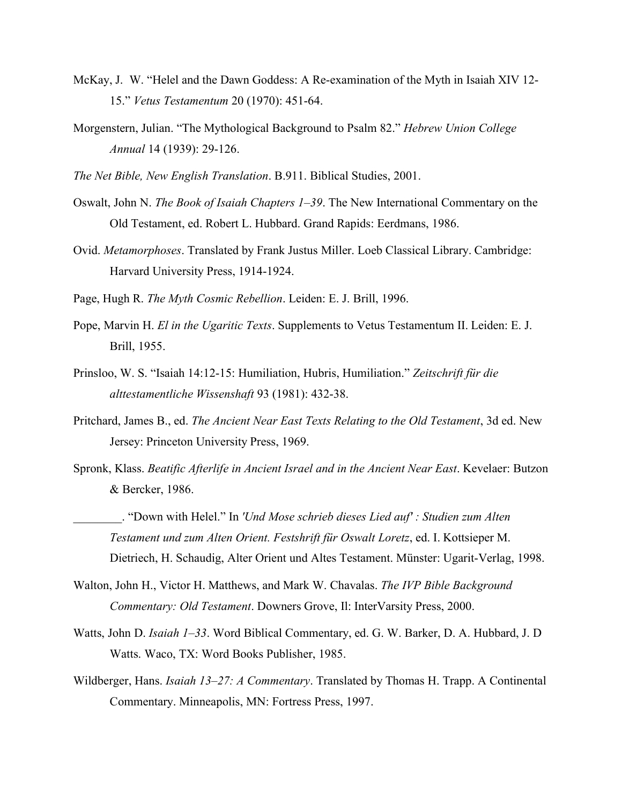- McKay, J. W. "Helel and the Dawn Goddess: A Re-examination of the Myth in Isaiah XIV 12- 15." *Vetus Testamentum* 20 (1970): 451-64.
- Morgenstern, Julian. "The Mythological Background to Psalm 82." *Hebrew Union College Annual* 14 (1939): 29-126.
- *The Net Bible, New English Translation*. B.911. Biblical Studies, 2001.
- Oswalt, John N. *The Book of Isaiah Chapters 1–39*. The New International Commentary on the Old Testament, ed. Robert L. Hubbard. Grand Rapids: Eerdmans, 1986.
- Ovid. *Metamorphoses*. Translated by Frank Justus Miller. Loeb Classical Library. Cambridge: Harvard University Press, 1914-1924.
- Page, Hugh R. *The Myth Cosmic Rebellion*. Leiden: E. J. Brill, 1996.
- Pope, Marvin H. *El in the Ugaritic Texts*. Supplements to Vetus Testamentum II. Leiden: E. J. Brill, 1955.
- Prinsloo, W. S. "Isaiah 14:12-15: Humiliation, Hubris, Humiliation." *Zeitschrift für die alttestamentliche Wissenshaft* 93 (1981): 432-38.
- Pritchard, James B., ed. *The Ancient Near East Texts Relating to the Old Testament*, 3d ed. New Jersey: Princeton University Press, 1969.
- Spronk, Klass. *Beatific Afterlife in Ancient Israel and in the Ancient Near East*. Kevelaer: Butzon & Bercker, 1986.
	- \_\_\_\_\_\_\_\_. "Down with Helel." In *'Und Mose schrieb dieses Lied auf' : Studien zum Alten Testament und zum Alten Orient. Festshrift für Oswalt Loretz*, ed. I. Kottsieper M. Dietriech, H. Schaudig, Alter Orient und Altes Testament. Münster: Ugarit-Verlag, 1998.
- Walton, John H., Victor H. Matthews, and Mark W. Chavalas. *The IVP Bible Background Commentary: Old Testament*. Downers Grove, Il: InterVarsity Press, 2000.
- Watts, John D. *Isaiah 1–33*. Word Biblical Commentary, ed. G. W. Barker, D. A. Hubbard, J. D Watts. Waco, TX: Word Books Publisher, 1985.
- Wildberger, Hans. *Isaiah 13–27: A Commentary*. Translated by Thomas H. Trapp. A Continental Commentary. Minneapolis, MN: Fortress Press, 1997.